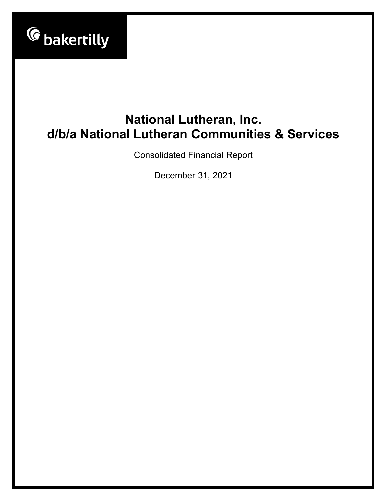

# **National Lutheran, Inc. d/b/a National Lutheran Communities & Services**

Consolidated Financial Report

December 31, 2021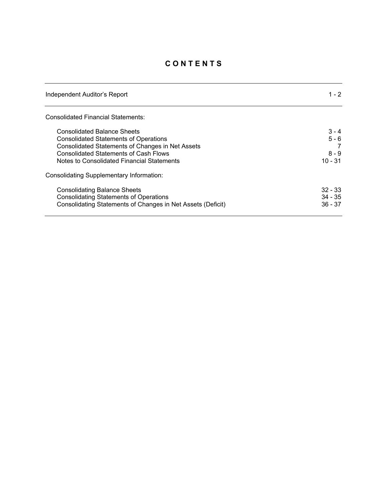# **C O N T E N T S**

| Independent Auditor's Report                                                                                                                                                                                                  | 1 - 2                                      |  |
|-------------------------------------------------------------------------------------------------------------------------------------------------------------------------------------------------------------------------------|--------------------------------------------|--|
| Consolidated Financial Statements:                                                                                                                                                                                            |                                            |  |
| Consolidated Balance Sheets<br><b>Consolidated Statements of Operations</b><br>Consolidated Statements of Changes in Net Assets<br><b>Consolidated Statements of Cash Flows</b><br>Notes to Consolidated Financial Statements | $3 - 4$<br>$5 - 6$<br>$8 - 9$<br>$10 - 31$ |  |
| Consolidating Supplementary Information:                                                                                                                                                                                      |                                            |  |
| <b>Consolidating Balance Sheets</b><br><b>Consolidating Statements of Operations</b><br>Consolidating Statements of Changes in Net Assets (Deficit)                                                                           | $32 - 33$<br>$34 - 35$<br>$36 - 37$        |  |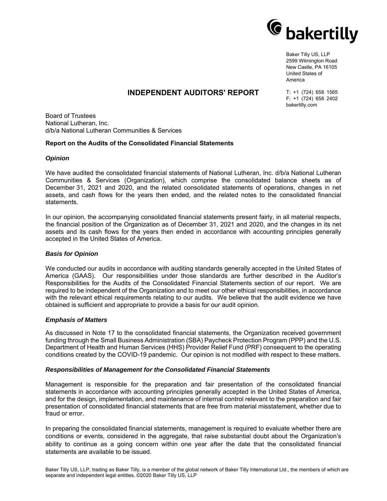

Baker Tilly US, LLP 2599 Wilmington Road New Castle, PA 16105 United States of America

# **INDEPENDENT AUDITORS' REPORT**

T: +1 (724) 658 1565 F: +1 (724) 658 2402 bakertilly.com

Board of Trustees National Lutheran, Inc. d/b/a National Lutheran Communities & Services

#### **Report on the Audits of the Consolidated Financial Statements**

#### *Opinion*

We have audited the consolidated financial statements of National Lutheran, Inc. d/b/a National Lutheran Communities & Services (Organization), which comprise the consolidated balance sheets as of December 31, 2021 and 2020, and the related consolidated statements of operations, changes in net assets, and cash flows for the years then ended, and the related notes to the consolidated financial statements.

In our opinion, the accompanying consolidated financial statements present fairly, in all material respects, the financial position of the Organization as of December 31, 2021 and 2020, and the changes in its net assets and its cash flows for the years then ended in accordance with accounting principles generally accepted in the United States of America.

#### *Basis for Opinion*

We conducted our audits in accordance with auditing standards generally accepted in the United States of America (GAAS). Our responsibilities under those standards are further described in the Auditor's Responsibilities for the Audits of the Consolidated Financial Statements section of our report. We are required to be independent of the Organization and to meet our other ethical responsibilities, in accordance with the relevant ethical requirements relating to our audits. We believe that the audit evidence we have obtained is sufficient and appropriate to provide a basis for our audit opinion.

#### *Emphasis of Matters*

As discussed in Note 17 to the consolidated financial statements, the Organization received government funding through the Small Business Administration (SBA) Paycheck Protection Program (PPP) and the U.S. Department of Health and Human Services (HHS) Provider Relief Fund (PRF) consequent to the operating conditions created by the COVID-19 pandemic. Our opinion is not modified with respect to these matters.

#### *Responsibilities of Management for the Consolidated Financial Statements*

Management is responsible for the preparation and fair presentation of the consolidated financial statements in accordance with accounting principles generally accepted in the United States of America, and for the design, implementation, and maintenance of internal control relevant to the preparation and fair presentation of consolidated financial statements that are free from material misstatement, whether due to fraud or error.

In preparing the consolidated financial statements, management is required to evaluate whether there are conditions or events, considered in the aggregate, that raise substantial doubt about the Organization's ability to continue as a going concern within one year after the date that the consolidated financial statements are available to be issued.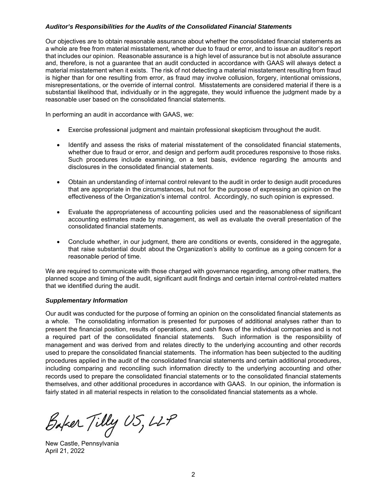#### *Auditor's Responsibilities for the Audits of the Consolidated Financial Statements*

Our objectives are to obtain reasonable assurance about whether the consolidated financial statements as a whole are free from material misstatement, whether due to fraud or error, and to issue an auditor's report that includes our opinion. Reasonable assurance is a high level of assurance but is not absolute assurance and, therefore, is not a guarantee that an audit conducted in accordance with GAAS will always detect a material misstatement when it exists. The risk of not detecting a material misstatement resulting from fraud is higher than for one resulting from error, as fraud may involve collusion, forgery, intentional omissions, misrepresentations, or the override of internal control. Misstatements are considered material if there is a substantial likelihood that, individually or in the aggregate, they would influence the judgment made by a reasonable user based on the consolidated financial statements.

In performing an audit in accordance with GAAS, we:

- Exercise professional judgment and maintain professional skepticism throughout the audit.
- Identify and assess the risks of material misstatement of the consolidated financial statements, whether due to fraud or error, and design and perform audit procedures responsive to those risks. Such procedures include examining, on a test basis, evidence regarding the amounts and disclosures in the consolidated financial statements.
- Obtain an understanding of internal control relevant to the audit in order to design audit procedures that are appropriate in the circumstances, but not for the purpose of expressing an opinion on the effectiveness of the Organization's internal control. Accordingly, no such opinion is expressed.
- Evaluate the appropriateness of accounting policies used and the reasonableness of significant accounting estimates made by management, as well as evaluate the overall presentation of the consolidated financial statements.
- Conclude whether, in our judgment, there are conditions or events, considered in the aggregate, that raise substantial doubt about the Organization's ability to continue as a going concern for a reasonable period of time.

We are required to communicate with those charged with governance regarding, among other matters, the planned scope and timing of the audit, significant audit findings and certain internal control-related matters that we identified during the audit.

#### *Supplementary Information*

Our audit was conducted for the purpose of forming an opinion on the consolidated financial statements as a whole. The consolidating information is presented for purposes of additional analyses rather than to present the financial position, results of operations, and cash flows of the individual companies and is not a required part of the consolidated financial statements. Such information is the responsibility of management and was derived from and relates directly to the underlying accounting and other records used to prepare the consolidated financial statements. The information has been subjected to the auditing procedures applied in the audit of the consolidated financial statements and certain additional procedures, including comparing and reconciling such information directly to the underlying accounting and other records used to prepare the consolidated financial statements or to the consolidated financial statements themselves, and other additional procedures in accordance with GAAS. In our opinion, the information is fairly stated in all material respects in relation to the consolidated financial statements as a whole.

Baker Tilly US, LLP

New Castle, Pennsylvania April 21, 2022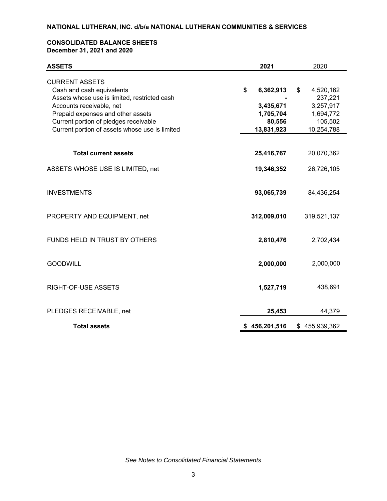# **CONSOLIDATED BALANCE SHEETS December 31, 2021 and 2020**

| <b>ASSETS</b>                                  | 2021             | 2020            |
|------------------------------------------------|------------------|-----------------|
|                                                |                  |                 |
| <b>CURRENT ASSETS</b>                          |                  |                 |
| Cash and cash equivalents                      | \$<br>6,362,913  | 4,520,162<br>\$ |
| Assets whose use is limited, restricted cash   |                  | 237,221         |
| Accounts receivable, net                       | 3,435,671        | 3,257,917       |
| Prepaid expenses and other assets              | 1,705,704        | 1,694,772       |
| Current portion of pledges receivable          | 80,556           | 105,502         |
| Current portion of assets whose use is limited | 13,831,923       | 10,254,788      |
|                                                |                  |                 |
| <b>Total current assets</b>                    | 25,416,767       | 20,070,362      |
|                                                |                  |                 |
| ASSETS WHOSE USE IS LIMITED, net               | 19,346,352       | 26,726,105      |
|                                                |                  |                 |
| <b>INVESTMENTS</b>                             | 93,065,739       | 84,436,254      |
|                                                |                  |                 |
| PROPERTY AND EQUIPMENT, net                    | 312,009,010      | 319,521,137     |
|                                                |                  |                 |
| FUNDS HELD IN TRUST BY OTHERS                  | 2,810,476        | 2,702,434       |
|                                                |                  |                 |
|                                                |                  |                 |
| <b>GOODWILL</b>                                | 2,000,000        | 2,000,000       |
|                                                |                  |                 |
| RIGHT-OF-USE ASSETS                            | 1,527,719        | 438,691         |
|                                                |                  |                 |
| PLEDGES RECEIVABLE, net                        | 25,453           | 44,379          |
| <b>Total assets</b>                            | 456,201,516<br>S | \$455,939,362   |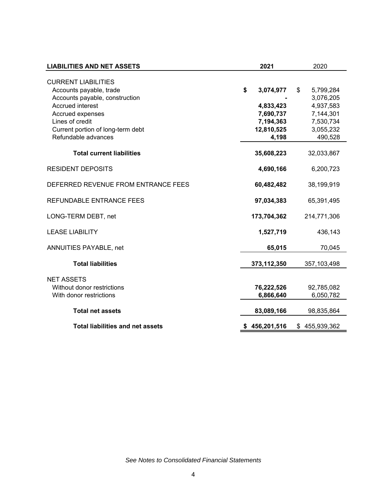| <b>LIABILITIES AND NET ASSETS</b>                                                                                                                                                                              | 2021                                                                 |             | 2020                                                                                  |
|----------------------------------------------------------------------------------------------------------------------------------------------------------------------------------------------------------------|----------------------------------------------------------------------|-------------|---------------------------------------------------------------------------------------|
| <b>CURRENT LIABILITIES</b><br>Accounts payable, trade<br>Accounts payable, construction<br>Accrued interest<br>Accrued expenses<br>Lines of credit<br>Current portion of long-term debt<br>Refundable advances | \$<br>3,074,977<br>4,833,423<br>7,690,737<br>7,194,363<br>12,810,525 | \$<br>4,198 | 5,799,284<br>3,076,205<br>4,937,583<br>7,144,301<br>7,530,734<br>3,055,232<br>490,528 |
| <b>Total current liabilities</b>                                                                                                                                                                               | 35,608,223                                                           |             | 32,033,867                                                                            |
| <b>RESIDENT DEPOSITS</b>                                                                                                                                                                                       | 4,690,166                                                            |             | 6,200,723                                                                             |
| DEFERRED REVENUE FROM ENTRANCE FEES                                                                                                                                                                            | 60,482,482                                                           |             | 38,199,919                                                                            |
| REFUNDABLE ENTRANCE FEES                                                                                                                                                                                       | 97,034,383                                                           |             | 65,391,495                                                                            |
| LONG-TERM DEBT, net                                                                                                                                                                                            | 173,704,362                                                          |             | 214,771,306                                                                           |
| <b>LEASE LIABILITY</b>                                                                                                                                                                                         | 1,527,719                                                            |             | 436,143                                                                               |
| ANNUITIES PAYABLE, net                                                                                                                                                                                         | 65,015                                                               |             | 70,045                                                                                |
| <b>Total liabilities</b>                                                                                                                                                                                       | 373,112,350                                                          |             | 357,103,498                                                                           |
| <b>NET ASSETS</b><br>Without donor restrictions<br>With donor restrictions                                                                                                                                     | 76,222,526<br>6,866,640                                              |             | 92,785,082<br>6,050,782                                                               |
| <b>Total net assets</b>                                                                                                                                                                                        | 83,089,166                                                           |             | 98,835,864                                                                            |
| <b>Total liabilities and net assets</b>                                                                                                                                                                        | \$456,201,516                                                        |             | \$455,939,362                                                                         |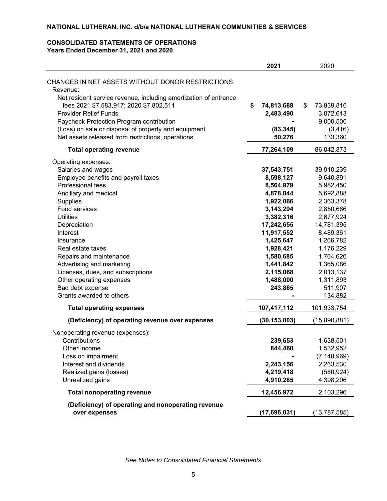# **CONSOLIDATED STATEMENTS OF OPERATIONS Years Ended December 31, 2021 and 2020**

|                                                                                                                                                                                                                                                                                                       | 2021                                                                                                                                                                     | 2020                                                                                                                                                                    |
|-------------------------------------------------------------------------------------------------------------------------------------------------------------------------------------------------------------------------------------------------------------------------------------------------------|--------------------------------------------------------------------------------------------------------------------------------------------------------------------------|-------------------------------------------------------------------------------------------------------------------------------------------------------------------------|
| CHANGES IN NET ASSETS WITHOUT DONOR RESTRICTIONS<br>Revenue:                                                                                                                                                                                                                                          |                                                                                                                                                                          |                                                                                                                                                                         |
| Net resident service revenue, including amortization of entrance<br>fees 2021 \$7,583,917; 2020 \$7,802,511<br><b>Provider Relief Funds</b><br>Paycheck Protection Program contribution                                                                                                               | \$<br>74,813,688<br>2,483,490                                                                                                                                            | \$<br>73,839,816<br>3,072,613<br>9,000,500                                                                                                                              |
| (Loss) on sale or disposal of property and equipment<br>Net assets released from restrictions, operations                                                                                                                                                                                             | (83, 345)<br>50,276                                                                                                                                                      | (3, 416)<br>133,360                                                                                                                                                     |
| <b>Total operating revenue</b>                                                                                                                                                                                                                                                                        | 77,264,109                                                                                                                                                               | 86,042,873                                                                                                                                                              |
| Operating expenses:<br>Salaries and wages<br>Employee benefits and payroll taxes<br>Professional fees<br>Ancillary and medical<br>Supplies<br>Food services<br><b>Utilities</b><br>Depreciation<br>Interest<br>Insurance<br>Real estate taxes<br>Repairs and maintenance<br>Advertising and marketing | 37,543,751<br>8,598,127<br>8,564,979<br>4,878,844<br>1,922,066<br>3,143,294<br>3,382,316<br>17,242,655<br>11,917,552<br>1,425,647<br>1,928,421<br>1,580,685<br>1,441,842 | 39,910,239<br>9,640,891<br>5,982,450<br>5,692,888<br>2,363,378<br>2,850,686<br>2,677,924<br>14,781,395<br>8,489,361<br>1,266,782<br>1,176,229<br>1,764,626<br>1,365,086 |
| Licenses, dues, and subscriptions<br>Other operating expenses<br>Bad debt expense<br>Grants awarded to others                                                                                                                                                                                         | 2,115,068<br>1,488,000<br>243,865                                                                                                                                        | 2,013,137<br>1,311,893<br>511,907<br>134,882                                                                                                                            |
| <b>Total operating expenses</b>                                                                                                                                                                                                                                                                       | 107,417,112                                                                                                                                                              | 101,933,754                                                                                                                                                             |
| (Deficiency) of operating revenue over expenses                                                                                                                                                                                                                                                       | (30, 153, 003)                                                                                                                                                           | (15,890,881)                                                                                                                                                            |
| Nonoperating revenue (expenses):<br>Contributions<br>Other income<br>Loss on impairment<br>Interest and dividends<br>Realized gains (losses)<br>Unrealized gains                                                                                                                                      | 239,653<br>844,460<br>2,243,156<br>4,219,418<br>4,910,285                                                                                                                | 1,638,501<br>1,532,952<br>(7, 148, 969)<br>2,263,530<br>(580, 924)<br>4,398,206                                                                                         |
| <b>Total nonoperating revenue</b>                                                                                                                                                                                                                                                                     | 12,456,972                                                                                                                                                               | 2,103,296                                                                                                                                                               |
| (Deficiency) of operating and nonoperating revenue<br>over expenses                                                                                                                                                                                                                                   | (17,696,031)                                                                                                                                                             | (13, 787, 585)                                                                                                                                                          |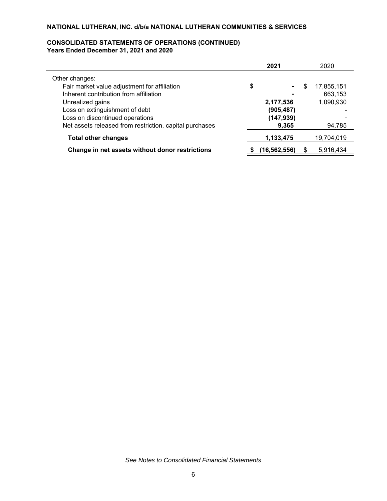# **CONSOLIDATED STATEMENTS OF OPERATIONS (CONTINUED) Years Ended December 31, 2021 and 2020**

|                                                         |    | 2021         |   | 2020       |  |
|---------------------------------------------------------|----|--------------|---|------------|--|
| Other changes:                                          |    |              |   |            |  |
| Fair market value adjustment for affiliation            | \$ |              | S | 17,855,151 |  |
| Inherent contribution from affiliation                  |    |              |   | 663,153    |  |
| Unrealized gains                                        |    | 2,177,536    |   | 1,090,930  |  |
| Loss on extinguishment of debt                          |    | (905, 487)   |   |            |  |
| Loss on discontinued operations                         |    | (147, 939)   |   |            |  |
| Net assets released from restriction, capital purchases |    | 9,365        |   | 94,785     |  |
| <b>Total other changes</b>                              |    | 1,133,475    |   | 19,704,019 |  |
| Change in net assets without donor restrictions         |    | (16,562,556) |   | 5.916.434  |  |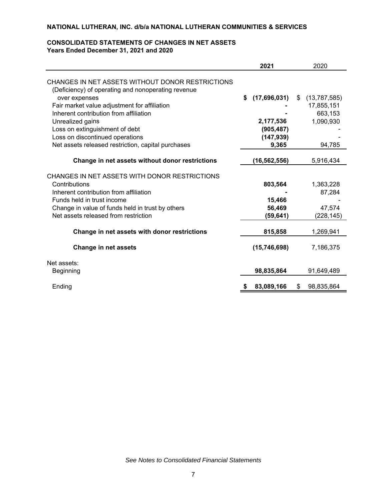# **CONSOLIDATED STATEMENTS OF CHANGES IN NET ASSETS Years Ended December 31, 2021 and 2020**

|                                                                                                                                                                                                                                                                         | 2021                                          |               | 2020                                                 |
|-------------------------------------------------------------------------------------------------------------------------------------------------------------------------------------------------------------------------------------------------------------------------|-----------------------------------------------|---------------|------------------------------------------------------|
| CHANGES IN NET ASSETS WITHOUT DONOR RESTRICTIONS<br>(Deficiency) of operating and nonoperating revenue<br>over expenses<br>Fair market value adjustment for affiliation<br>Inherent contribution from affiliation<br>Unrealized gains<br>Loss on extinguishment of debt | \$<br>(17,696,031)<br>2,177,536<br>(905, 487) | $\mathfrak s$ | (13, 787, 585)<br>17,855,151<br>663,153<br>1,090,930 |
| Loss on discontinued operations<br>Net assets released restriction, capital purchases                                                                                                                                                                                   | (147, 939)<br>9,365                           |               | 94,785                                               |
| Change in net assets without donor restrictions                                                                                                                                                                                                                         | (16,562,556)                                  |               | 5,916,434                                            |
| CHANGES IN NET ASSETS WITH DONOR RESTRICTIONS<br>Contributions<br>Inherent contribution from affiliation<br>Funds held in trust income<br>Change in value of funds held in trust by others<br>Net assets released from restriction                                      | 803,564<br>15,466<br>56,469<br>(59,641)       |               | 1,363,228<br>87,284<br>47,574<br>(228, 145)          |
| Change in net assets with donor restrictions                                                                                                                                                                                                                            | 815,858                                       |               | 1,269,941                                            |
| <b>Change in net assets</b>                                                                                                                                                                                                                                             | (15,746,698)                                  |               | 7,186,375                                            |
| Net assets:<br>Beginning                                                                                                                                                                                                                                                | 98,835,864                                    |               | 91,649,489                                           |
| Ending                                                                                                                                                                                                                                                                  | 83,089,166                                    | \$            | 98,835,864                                           |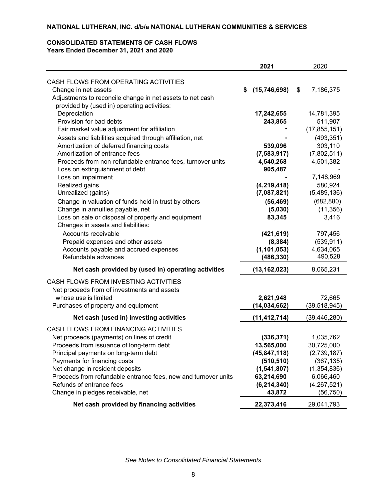# **CONSOLIDATED STATEMENTS OF CASH FLOWS Years Ended December 31, 2021 and 2020**

|                                                                | 2021               | 2020            |
|----------------------------------------------------------------|--------------------|-----------------|
| CASH FLOWS FROM OPERATING ACTIVITIES                           |                    |                 |
| Change in net assets                                           | (15,746,698)<br>\$ | 7,186,375<br>\$ |
| Adjustments to reconcile change in net assets to net cash      |                    |                 |
| provided by (used in) operating activities:                    |                    |                 |
| Depreciation                                                   | 17,242,655         | 14,781,395      |
| Provision for bad debts                                        | 243,865            | 511,907         |
| Fair market value adjustment for affiliation                   |                    | (17, 855, 151)  |
| Assets and liabilities acquired through affiliation, net       |                    | (493, 351)      |
| Amortization of deferred financing costs                       | 539,096            | 303,110         |
| Amortization of entrance fees                                  | (7,583,917)        | (7,802,511)     |
| Proceeds from non-refundable entrance fees, turnover units     | 4,540,268          | 4,501,382       |
| Loss on extinguishment of debt                                 | 905,487            |                 |
| Loss on impairment                                             |                    | 7,148,969       |
| Realized gains                                                 | (4, 219, 418)      | 580,924         |
| Unrealized (gains)                                             | (7,087,821)        | (5,489,136)     |
| Change in valuation of funds held in trust by others           | (56, 469)          | (682, 880)      |
| Change in annuities payable, net                               | (5,030)            | (11, 356)       |
| Loss on sale or disposal of property and equipment             | 83,345             | 3,416           |
| Changes in assets and liabilities:                             |                    |                 |
| Accounts receivable                                            | (421, 619)         | 797,456         |
| Prepaid expenses and other assets                              | (8, 384)           | (539, 911)      |
| Accounts payable and accrued expenses                          | (1, 101, 053)      | 4,634,065       |
| Refundable advances                                            | (486, 330)         | 490,528         |
| Net cash provided by (used in) operating activities            | (13, 162, 023)     | 8,065,231       |
| CASH FLOWS FROM INVESTING ACTIVITIES                           |                    |                 |
| Net proceeds from of investments and assets                    |                    |                 |
| whose use is limited                                           | 2,621,948          | 72,665          |
| Purchases of property and equipment                            | (14, 034, 662)     | (39,518,945)    |
| Net cash (used in) investing activities                        | (11,412,714)       | (39,446,280)    |
|                                                                |                    |                 |
| CASH FLOWS FROM FINANCING ACTIVITIES                           |                    |                 |
| Net proceeds (payments) on lines of credit                     | (336, 371)         | 1,035,762       |
| Proceeds from issuance of long-term debt                       | 13,565,000         | 30,725,000      |
| Principal payments on long-term debt                           | (45, 847, 118)     | (2,739,187)     |
| Payments for financing costs                                   | (510, 510)         | (367, 135)      |
| Net change in resident deposits                                | (1,541,807)        | (1,354,836)     |
| Proceeds from refundable entrance fees, new and turnover units | 63,214,690         | 6,066,460       |
| Refunds of entrance fees                                       | (6, 214, 340)      | (4, 267, 521)   |
| Change in pledges receivable, net                              | 43,872             | (56, 750)       |
| Net cash provided by financing activities                      | 22,373,416         | 29,041,793      |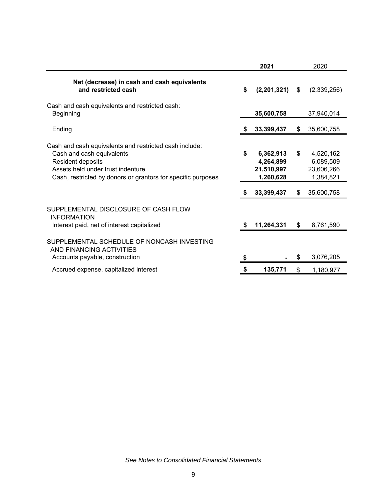|                                                                                                                                                                                                               | 2021                                                    | 2020                                                    |
|---------------------------------------------------------------------------------------------------------------------------------------------------------------------------------------------------------------|---------------------------------------------------------|---------------------------------------------------------|
| Net (decrease) in cash and cash equivalents<br>and restricted cash                                                                                                                                            | \$<br>(2,201,321)                                       | \$<br>(2,339,256)                                       |
| Cash and cash equivalents and restricted cash:<br>Beginning                                                                                                                                                   | 35,600,758                                              | 37,940,014                                              |
| Ending                                                                                                                                                                                                        | 33,399,437                                              | \$<br>35,600,758                                        |
| Cash and cash equivalents and restricted cash include:<br>Cash and cash equivalents<br>Resident deposits<br>Assets held under trust indenture<br>Cash, restricted by donors or grantors for specific purposes | \$<br>6,362,913<br>4,264,899<br>21,510,997<br>1,260,628 | \$<br>4,520,162<br>6,089,509<br>23,606,266<br>1,384,821 |
|                                                                                                                                                                                                               | 33,399,437                                              | \$<br>35,600,758                                        |
| SUPPLEMENTAL DISCLOSURE OF CASH FLOW<br><b>INFORMATION</b><br>Interest paid, net of interest capitalized                                                                                                      | 11,264,331                                              | \$<br>8,761,590                                         |
| SUPPLEMENTAL SCHEDULE OF NONCASH INVESTING<br>AND FINANCING ACTIVITIES<br>Accounts payable, construction                                                                                                      |                                                         | \$<br>3,076,205                                         |
| Accrued expense, capitalized interest                                                                                                                                                                         | 135,771                                                 | \$<br>1,180,977                                         |
|                                                                                                                                                                                                               |                                                         |                                                         |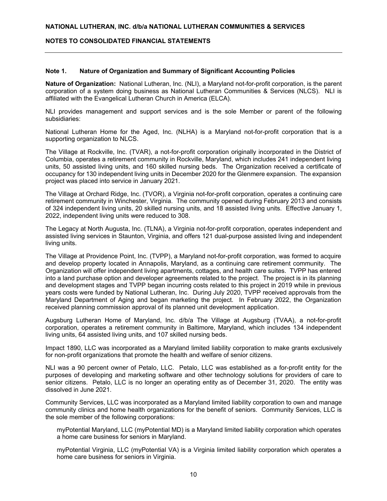#### **NOTES TO CONSOLIDATED FINANCIAL STATEMENTS**

#### **Note 1. Nature of Organization and Summary of Significant Accounting Policies**

**Nature of Organization:** National Lutheran, Inc. (NLI), a Maryland not-for-profit corporation, is the parent corporation of a system doing business as National Lutheran Communities & Services (NLCS). NLI is affiliated with the Evangelical Lutheran Church in America (ELCA).

NLI provides management and support services and is the sole Member or parent of the following subsidiaries:

National Lutheran Home for the Aged, Inc. (NLHA) is a Maryland not-for-profit corporation that is a supporting organization to NLCS.

The Village at Rockville, Inc. (TVAR), a not-for-profit corporation originally incorporated in the District of Columbia, operates a retirement community in Rockville, Maryland, which includes 241 independent living units, 50 assisted living units, and 160 skilled nursing beds. The Organization received a certificate of occupancy for 130 independent living units in December 2020 for the Glenmere expansion. The expansion project was placed into service in January 2021.

The Village at Orchard Ridge, Inc. (TVOR), a Virginia not-for-profit corporation, operates a continuing care retirement community in Winchester, Virginia. The community opened during February 2013 and consists of 324 independent living units, 20 skilled nursing units, and 18 assisted living units. Effective January 1, 2022, independent living units were reduced to 308.

The Legacy at North Augusta, Inc. (TLNA), a Virginia not-for-profit corporation, operates independent and assisted living services in Staunton, Virginia, and offers 121 dual-purpose assisted living and independent living units.

The Village at Providence Point, Inc. (TVPP), a Maryland not-for-profit corporation, was formed to acquire and develop property located in Annapolis, Maryland, as a continuing care retirement community. The Organization will offer independent living apartments, cottages, and health care suites. TVPP has entered into a land purchase option and developer agreements related to the project. The project is in its planning and development stages and TVPP began incurring costs related to this project in 2019 while in previous years costs were funded by National Lutheran, Inc. During July 2020, TVPP received approvals from the Maryland Department of Aging and began marketing the project. In February 2022, the Organization received planning commission approval of its planned unit development application.

Augsburg Lutheran Home of Maryland, Inc. d/b/a The Village at Augsburg (TVAA), a not-for-profit corporation, operates a retirement community in Baltimore, Maryland, which includes 134 independent living units, 64 assisted living units, and 107 skilled nursing beds.

Impact 1890, LLC was incorporated as a Maryland limited liability corporation to make grants exclusively for non-profit organizations that promote the health and welfare of senior citizens.

NLI was a 90 percent owner of Petalo, LLC. Petalo, LLC was established as a for-profit entity for the purposes of developing and marketing software and other technology solutions for providers of care to senior citizens. Petalo, LLC is no longer an operating entity as of December 31, 2020. The entity was dissolved in June 2021.

Community Services, LLC was incorporated as a Maryland limited liability corporation to own and manage community clinics and home health organizations for the benefit of seniors. Community Services, LLC is the sole member of the following corporations:

myPotential Maryland, LLC (myPotential MD) is a Maryland limited liability corporation which operates a home care business for seniors in Maryland.

myPotential Virginia, LLC (myPotential VA) is a Virginia limited liability corporation which operates a home care business for seniors in Virginia.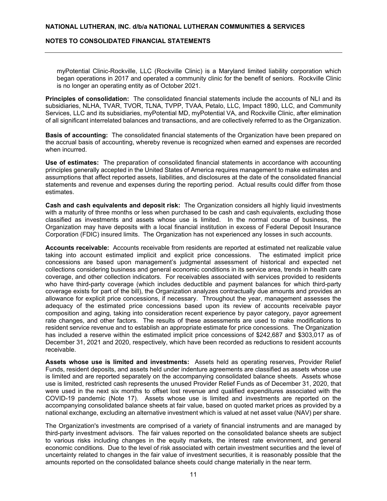#### **NOTES TO CONSOLIDATED FINANCIAL STATEMENTS**

myPotential Clinic-Rockville, LLC (Rockville Clinic) is a Maryland limited liability corporation which began operations in 2017 and operated a community clinic for the benefit of seniors. Rockville Clinic is no longer an operating entity as of October 2021.

**Principles of consolidation:** The consolidated financial statements include the accounts of NLI and its subsidiaries, NLHA, TVAR, TVOR, TLNA, TVPP, TVAA, Petalo, LLC, Impact 1890, LLC, and Community Services, LLC and its subsidiaries, myPotential MD, myPotential VA, and Rockville Clinic, after elimination of all significant interrelated balances and transactions, and are collectively referred to as the Organization.

**Basis of accounting:** The consolidated financial statements of the Organization have been prepared on the accrual basis of accounting, whereby revenue is recognized when earned and expenses are recorded when incurred.

**Use of estimates:** The preparation of consolidated financial statements in accordance with accounting principles generally accepted in the United States of America requires management to make estimates and assumptions that affect reported assets, liabilities, and disclosures at the date of the consolidated financial statements and revenue and expenses during the reporting period. Actual results could differ from those estimates.

**Cash and cash equivalents and deposit risk:** The Organization considers all highly liquid investments with a maturity of three months or less when purchased to be cash and cash equivalents, excluding those classified as investments and assets whose use is limited. In the normal course of business, the Organization may have deposits with a local financial institution in excess of Federal Deposit Insurance Corporation (FDIC) insured limits. The Organization has not experienced any losses in such accounts.

**Accounts receivable:** Accounts receivable from residents are reported at estimated net realizable value taking into account estimated implicit and explicit price concessions. The estimated implicit price concessions are based upon management's judgmental assessment of historical and expected net collections considering business and general economic conditions in its service area, trends in health care coverage, and other collection indicators. For receivables associated with services provided to residents who have third-party coverage (which includes deductible and payment balances for which third-party coverage exists for part of the bill), the Organization analyzes contractually due amounts and provides an allowance for explicit price concessions, if necessary. Throughout the year, management assesses the adequacy of the estimated price concessions based upon its review of accounts receivable payor composition and aging, taking into consideration recent experience by payor category, payor agreement rate changes, and other factors. The results of these assessments are used to make modifications to resident service revenue and to establish an appropriate estimate for price concessions. The Organization has included a reserve within the estimated implicit price concessions of \$242,687 and \$303,017 as of December 31, 2021 and 2020, respectively, which have been recorded as reductions to resident accounts receivable.

**Assets whose use is limited and investments:** Assets held as operating reserves, Provider Relief Funds, resident deposits, and assets held under indenture agreements are classified as assets whose use is limited and are reported separately on the accompanying consolidated balance sheets. Assets whose use is limited, restricted cash represents the unused Provider Relief Funds as of December 31, 2020, that were used in the next six months to offset lost revenue and qualified expenditures associated with the COVID-19 pandemic (Note 17). Assets whose use is limited and investments are reported on the accompanying consolidated balance sheets at fair value, based on quoted market prices as provided by a national exchange, excluding an alternative investment which is valued at net asset value (NAV) per share.

The Organization's investments are comprised of a variety of financial instruments and are managed by third-party investment advisors. The fair values reported on the consolidated balance sheets are subject to various risks including changes in the equity markets, the interest rate environment, and general economic conditions. Due to the level of risk associated with certain investment securities and the level of uncertainty related to changes in the fair value of investment securities, it is reasonably possible that the amounts reported on the consolidated balance sheets could change materially in the near term.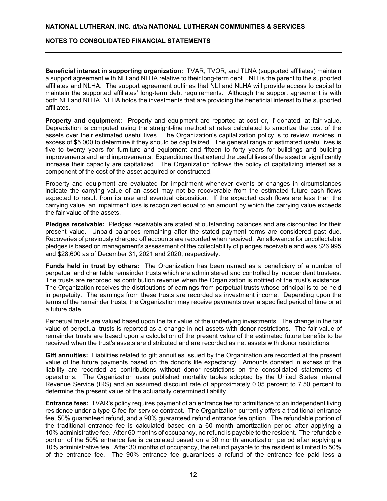#### **NOTES TO CONSOLIDATED FINANCIAL STATEMENTS**

**Beneficial interest in supporting organization:** TVAR, TVOR, and TLNA (supported affiliates) maintain a support agreement with NLI and NLHA relative to their long-term debt. NLI is the parent to the supported affiliates and NLHA. The support agreement outlines that NLI and NLHA will provide access to capital to maintain the supported affiliates' long-term debt requirements. Although the support agreement is with both NLI and NLHA, NLHA holds the investments that are providing the beneficial interest to the supported affiliates.

**Property and equipment:** Property and equipment are reported at cost or, if donated, at fair value. Depreciation is computed using the straight-line method at rates calculated to amortize the cost of the assets over their estimated useful lives. The Organization's capitalization policy is to review invoices in excess of \$5,000 to determine if they should be capitalized. The general range of estimated useful lives is five to twenty years for furniture and equipment and fifteen to forty years for buildings and building improvements and land improvements. Expenditures that extend the useful lives of the asset or significantly increase their capacity are capitalized. The Organization follows the policy of capitalizing interest as a component of the cost of the asset acquired or constructed.

Property and equipment are evaluated for impairment whenever events or changes in circumstances indicate the carrying value of an asset may not be recoverable from the estimated future cash flows expected to result from its use and eventual disposition. If the expected cash flows are less than the carrying value, an impairment loss is recognized equal to an amount by which the carrying value exceeds the fair value of the assets.

**Pledges receivable:** Pledges receivable are stated at outstanding balances and are discounted for their present value. Unpaid balances remaining after the stated payment terms are considered past due. Recoveries of previously charged off accounts are recorded when received. An allowance for uncollectable pledges is based on management's assessment of the collectability of pledges receivable and was \$26,995 and \$28,600 as of December 31, 2021 and 2020, respectively.

**Funds held in trust by others:** The Organization has been named as a beneficiary of a number of perpetual and charitable remainder trusts which are administered and controlled by independent trustees. The trusts are recorded as contribution revenue when the Organization is notified of the trust's existence. The Organization receives the distributions of earnings from perpetual trusts whose principal is to be held in perpetuity. The earnings from these trusts are recorded as investment income. Depending upon the terms of the remainder trusts, the Organization may receive payments over a specified period of time or at a future date.

Perpetual trusts are valued based upon the fair value of the underlying investments. The change in the fair value of perpetual trusts is reported as a change in net assets with donor restrictions. The fair value of remainder trusts are based upon a calculation of the present value of the estimated future benefits to be received when the trust's assets are distributed and are recorded as net assets with donor restrictions.

**Gift annuities:** Liabilities related to gift annuities issued by the Organization are recorded at the present value of the future payments based on the donor's life expectancy. Amounts donated in excess of the liability are recorded as contributions without donor restrictions on the consolidated statements of operations. The Organization uses published mortality tables adopted by the United States Internal Revenue Service (IRS) and an assumed discount rate of approximately 0.05 percent to 7.50 percent to determine the present value of the actuarially determined liability.

**Entrance fees:** TVAR's policy requires payment of an entrance fee for admittance to an independent living residence under a type C fee-for-service contract. The Organization currently offers a traditional entrance fee, 50% guaranteed refund, and a 90% guaranteed refund entrance fee option. The refundable portion of the traditional entrance fee is calculated based on a 60 month amortization period after applying a 10% administrative fee. After 60 months of occupancy, no refund is payable to the resident. The refundable portion of the 50% entrance fee is calculated based on a 30 month amortization period after applying a 10% administrative fee. After 30 months of occupancy, the refund payable to the resident is limited to 50% of the entrance fee. The 90% entrance fee guarantees a refund of the entrance fee paid less a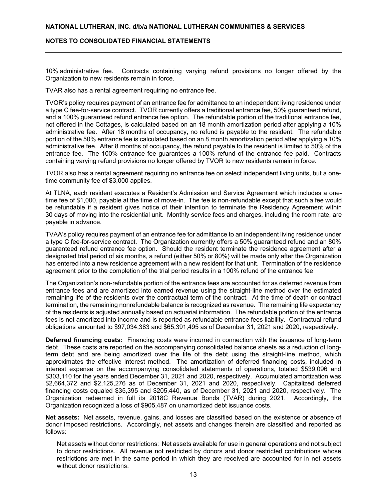#### **NOTES TO CONSOLIDATED FINANCIAL STATEMENTS**

10% administrative fee. Contracts containing varying refund provisions no longer offered by the Organization to new residents remain in force.

TVAR also has a rental agreement requiring no entrance fee.

TVOR's policy requires payment of an entrance fee for admittance to an independent living residence under a type C fee-for-service contract. TVOR currently offers a traditional entrance fee, 50% guaranteed refund, and a 100% guaranteed refund entrance fee option. The refundable portion of the traditional entrance fee, not offered in the Cottages, is calculated based on an 18 month amortization period after applying a 10% administrative fee. After 18 months of occupancy, no refund is payable to the resident. The refundable portion of the 50% entrance fee is calculated based on an 8 month amortization period after applying a 10% administrative fee. After 8 months of occupancy, the refund payable to the resident is limited to 50% of the entrance fee. The 100% entrance fee guarantees a 100% refund of the entrance fee paid. Contracts containing varying refund provisions no longer offered by TVOR to new residents remain in force.

TVOR also has a rental agreement requiring no entrance fee on select independent living units, but a onetime community fee of \$3,000 applies.

At TLNA, each resident executes a Resident's Admission and Service Agreement which includes a onetime fee of \$1,000, payable at the time of move-in. The fee is non-refundable except that such a fee would be refundable if a resident gives notice of their intention to terminate the Residency Agreement within 30 days of moving into the residential unit. Monthly service fees and charges, including the room rate, are payable in advance.

TVAA's policy requires payment of an entrance fee for admittance to an independent living residence under a type C fee-for-service contract. The Organization currently offers a 50% guaranteed refund and an 80% guaranteed refund entrance fee option. Should the resident terminate the residence agreement after a designated trial period of six months, a refund (either 50% or 80%) will be made only after the Organization has entered into a new residence agreement with a new resident for that unit. Termination of the residence agreement prior to the completion of the trial period results in a 100% refund of the entrance fee

The Organization's non-refundable portion of the entrance fees are accounted for as deferred revenue from entrance fees and are amortized into earned revenue using the straight-line method over the estimated remaining life of the residents over the contractual term of the contract. At the time of death or contract termination, the remaining nonrefundable balance is recognized as revenue. The remaining life expectancy of the residents is adjusted annually based on actuarial information. The refundable portion of the entrance fees is not amortized into income and is reported as refundable entrance fees liability. Contractual refund obligations amounted to \$97,034,383 and \$65,391,495 as of December 31, 2021 and 2020, respectively.

**Deferred financing costs:** Financing costs were incurred in connection with the issuance of long-term debt. These costs are reported on the accompanying consolidated balance sheets as a reduction of longterm debt and are being amortized over the life of the debt using the straight-line method, which approximates the effective interest method. The amortization of deferred financing costs, included in interest expense on the accompanying consolidated statements of operations, totaled \$539,096 and \$303,110 for the years ended December 31, 2021 and 2020, respectively. Accumulated amortization was \$2,664,372 and \$2,125,276 as of December 31, 2021 and 2020, respectively. Capitalized deferred financing costs equaled \$35,395 and \$205,440, as of December 31, 2021 and 2020, respectively. The Organization redeemed in full its 2018C Revenue Bonds (TVAR) during 2021. Accordingly, the Organization recognized a loss of \$905,487 on unamortized debt issuance costs.

**Net assets:** Net assets, revenue, gains, and losses are classified based on the existence or absence of donor imposed restrictions. Accordingly, net assets and changes therein are classified and reported as follows:

Net assets without donor restrictions: Net assets available for use in general operations and not subject to donor restrictions. All revenue not restricted by donors and donor restricted contributions whose restrictions are met in the same period in which they are received are accounted for in net assets without donor restrictions.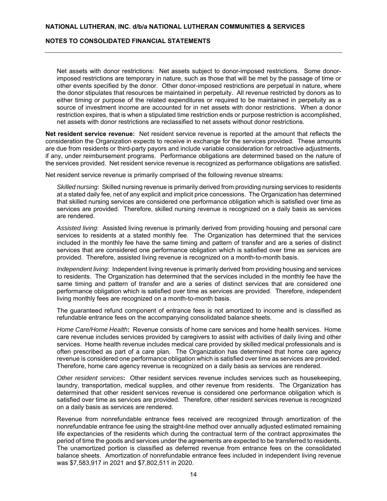Net assets with donor restrictions:Net assets subject to donor-imposed restrictions. Some donorimposed restrictions are temporary in nature, such as those that will be met by the passage of time or other events specified by the donor. Other donor-imposed restrictions are perpetual in nature, where the donor stipulates that resources be maintained in perpetuity. All revenue restricted by donors as to either timing or purpose of the related expenditures or required to be maintained in perpetuity as a source of investment income are accounted for in net assets with donor restrictions. When a donor restriction expires, that is when a stipulated time restriction ends or purpose restriction is accomplished, net assets with donor restrictions are reclassified to net assets without donor restrictions.

**Net resident service revenue:** Net resident service revenue is reported at the amount that reflects the consideration the Organization expects to receive in exchange for the services provided. These amounts are due from residents or third-party payors and include variable consideration for retroactive adjustments, if any, under reimbursement programs. Performance obligations are determined based on the nature of the services provided. Net resident service revenue is recognized as performance obligations are satisfied.

Net resident service revenue is primarily comprised of the following revenue streams:

*Skilled nursing*: Skilled nursing revenue is primarily derived from providing nursing services to residents at a stated daily fee, net of any explicit and implicit price concessions. The Organization has determined that skilled nursing services are considered one performance obligation which is satisfied over time as services are provided. Therefore, skilled nursing revenue is recognized on a daily basis as services are rendered.

*Assisted living*: Assisted living revenue is primarily derived from providing housing and personal care services to residents at a stated monthly fee. The Organization has determined that the services included in the monthly fee have the same timing and pattern of transfer and are a series of distinct services that are considered one performance obligation which is satisfied over time as services are provided. Therefore, assisted living revenue is recognized on a month-to-month basis.

*Independent living*: Independent living revenue is primarily derived from providing housing and services to residents. The Organization has determined that the services included in the monthly fee have the same timing and pattern of transfer and are a series of distinct services that are considered one performance obligation which is satisfied over time as services are provided. Therefore, independent living monthly fees are recognized on a month-to-month basis.

The guaranteed refund component of entrance fees is not amortized to income and is classified as refundable entrance fees on the accompanying consolidated balance sheets.

*Home Care/Home Health***:** Revenue consists of home care services and home health services. Home care revenue includes services provided by caregivers to assist with activities of daily living and other services. Home health revenue includes medical care provided by skilled medical professionals and is often prescribed as part of a care plan. The Organization has determined that home care agency revenue is considered one performance obligation which is satisfied over time as services are provided. Therefore, home care agency revenue is recognized on a daily basis as services are rendered.

*Other resident services***:** Other resident services revenue includes services such as housekeeping, laundry, transportation, medical supplies, and other revenue from residents. The Organization has determined that other resident services revenue is considered one performance obligation which is satisfied over time as services are provided. Therefore, other resident services revenue is recognized on a daily basis as services are rendered.

Revenue from nonrefundable entrance fees received are recognized through amortization of the nonrefundable entrance fee using the straight-line method over annually adjusted estimated remaining life expectancies of the residents which during the contractual term of the contract approximates the period of time the goods and services under the agreements are expected to be transferred to residents. The unamortized portion is classified as deferred revenue from entrance fees on the consolidated balance sheets. Amortization of nonrefundable entrance fees included in independent living revenue was \$7,583,917 in 2021 and \$7,802,511 in 2020.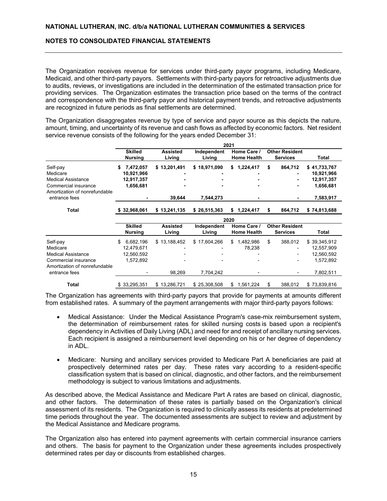The Organization receives revenue for services under third-party payor programs, including Medicare, Medicaid, and other third-party payors. Settlements with third-party payors for retroactive adjustments due to audits, reviews, or investigations are included in the determination of the estimated transaction price for providing services. The Organization estimates the transaction price based on the terms of the contract and correspondence with the third-party payor and historical payment trends, and retroactive adjustments are recognized in future periods as final settlements are determined.

The Organization disaggregates revenue by type of service and payor source as this depicts the nature, amount, timing, and uncertainty of its revenue and cash flows as affected by economic factors. Net resident service revenue consists of the following for the years ended December 31:

|                               |                 |                 |                  | 2021               |                       |              |
|-------------------------------|-----------------|-----------------|------------------|--------------------|-----------------------|--------------|
|                               | <b>Skilled</b>  | <b>Assisted</b> | Independent      | Home Care /        | <b>Other Resident</b> |              |
|                               | <b>Nursing</b>  | Living          | Living           | <b>Home Health</b> | <b>Services</b>       | Total        |
| Self-pay                      | 7,472,057<br>\$ | \$13,201,491    | \$18,971,090     | 1,224,417<br>\$    | \$<br>864,712         | \$41,733,767 |
| Medicare                      | 10,921,966      |                 |                  |                    |                       | 10,921,966   |
| <b>Medical Assistance</b>     | 12,917,357      |                 |                  |                    |                       | 12,917,357   |
| Commercial insurance          | 1,656,681       |                 |                  |                    |                       | 1,656,681    |
| Amortization of nonrefundable |                 |                 |                  |                    |                       |              |
| entrance fees                 |                 | 39,644          | 7,544,273        |                    |                       | 7,583,917    |
|                               |                 |                 |                  |                    |                       |              |
| <b>Total</b>                  | \$32,968,061    | \$13,241,135    | \$26,515,363     | 1,224,417<br>\$    | 864,712<br>\$         | \$74,813,688 |
|                               |                 |                 |                  | 2020               |                       |              |
|                               | <b>Skilled</b>  | <b>Assisted</b> | Independent      | Home Care /        | <b>Other Resident</b> |              |
|                               | <b>Nursing</b>  | Living          | Living           | <b>Home Health</b> | <b>Services</b>       | <b>Total</b> |
| Self-pay                      | 6,682,196<br>\$ | \$13,188,452    | \$<br>17,604,266 | 1,482,986<br>\$    | \$<br>388,012         | \$39,345,912 |
| Medicare                      | 12,479,671      |                 |                  | 78,238             |                       | 12,557,909   |
| <b>Medical Assistance</b>     | 12,560,592      |                 |                  |                    |                       | 12,560,592   |
| Commercial insurance          | 1,572,892       |                 |                  |                    |                       | 1,572,892    |
| Amortization of nonrefundable |                 |                 |                  |                    |                       |              |
| entrance fees                 |                 | 98,269          | 7,704,242        |                    |                       | 7,802,511    |
|                               |                 |                 |                  |                    |                       |              |
| <b>Total</b>                  | \$33,295,351    | \$13,286,721    | \$25,308,508     | 1,561,224<br>\$    | \$<br>388,012         | \$73,839,816 |

The Organization has agreements with third-party payors that provide for payments at amounts different from established rates. A summary of the payment arrangements with major third-party payors follows:

- Medical Assistance: Under the Medical Assistance Program's case-mix reimbursement system, the determination of reimbursement rates for skilled nursing costs is based upon a recipient's dependency in Activities of Daily Living (ADL) and need for and receipt of ancillary nursing services. Each recipient is assigned a reimbursement level depending on his or her degree of dependency in ADL.
- Medicare: Nursing and ancillary services provided to Medicare Part A beneficiaries are paid at prospectively determined rates per day. These rates vary according to a resident-specific classification system that is based on clinical, diagnostic, and other factors, and the reimbursement methodology is subject to various limitations and adjustments.

As described above, the Medical Assistance and Medicare Part A rates are based on clinical, diagnostic, and other factors. The determination of these rates is partially based on the Organization's clinical assessment of its residents. The Organization is required to clinically assess its residents at predetermined time periods throughout the year. The documented assessments are subject to review and adjustment by the Medical Assistance and Medicare programs.

The Organization also has entered into payment agreements with certain commercial insurance carriers and others. The basis for payment to the Organization under these agreements includes prospectively determined rates per day or discounts from established charges.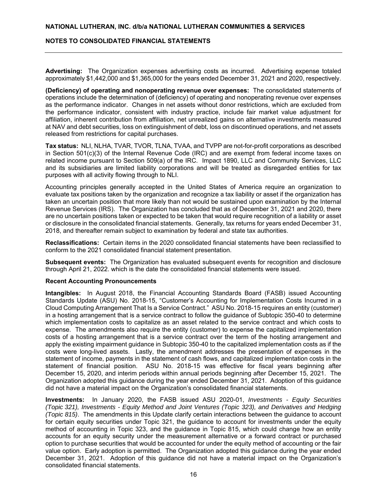#### **NOTES TO CONSOLIDATED FINANCIAL STATEMENTS**

**Advertising:** The Organization expenses advertising costs as incurred. Advertising expense totaled approximately \$1,442,000 and \$1,365,000 for the years ended December 31, 2021 and 2020, respectively.

**(Deficiency) of operating and nonoperating revenue over expenses:** The consolidated statements of operations include the determination of (deficiency) of operating and nonoperating revenue over expenses as the performance indicator. Changes in net assets without donor restrictions, which are excluded from the performance indicator, consistent with industry practice, include fair market value adjustment for affiliation, inherent contribution from affiliation, net unrealized gains on alternative investments measured at NAV and debt securities, loss on extinguishment of debt, loss on discontinued operations, and net assets released from restrictions for capital purchases.

**Tax status:** NLI, NLHA, TVAR, TVOR, TLNA, TVAA, and TVPP are not-for-profit corporations as described in Section 501(c)(3) of the Internal Revenue Code (IRC) and are exempt from federal income taxes on related income pursuant to Section 509(a) of the IRC. Impact 1890, LLC and Community Services, LLC and its subsidiaries are limited liability corporations and will be treated as disregarded entities for tax purposes with all activity flowing through to NLI.

Accounting principles generally accepted in the United States of America require an organization to evaluate tax positions taken by the organization and recognize a tax liability or asset if the organization has taken an uncertain position that more likely than not would be sustained upon examination by the Internal Revenue Services (IRS). The Organization has concluded that as of December 31, 2021 and 2020, there are no uncertain positions taken or expected to be taken that would require recognition of a liability or asset or disclosure in the consolidated financial statements. Generally, tax returns for years ended December 31, 2018, and thereafter remain subject to examination by federal and state tax authorities.

**Reclassifications:** Certain items in the 2020 consolidated financial statements have been reclassified to conform to the 2021 consolidated financial statement presentation.

**Subsequent events:** The Organization has evaluated subsequent events for recognition and disclosure through April 21, 2022. which is the date the consolidated financial statements were issued.

#### **Recent Accounting Pronouncements**

**Intangibles:** In August 2018, the Financial Accounting Standards Board (FASB) issued Accounting Standards Update (ASU) No. 2018-15, "Customer's Accounting for Implementation Costs Incurred in a Cloud Computing Arrangement That Is a Service Contract." ASU No. 2018-15 requires an entity (customer) in a hosting arrangement that is a service contract to follow the guidance of Subtopic 350-40 to determine which implementation costs to capitalize as an asset related to the service contract and which costs to expense. The amendments also require the entity (customer) to expense the capitalized implementation costs of a hosting arrangement that is a service contract over the term of the hosting arrangement and apply the existing impairment guidance in Subtopic 350-40 to the capitalized implementation costs as if the costs were long-lived assets. Lastly, the amendment addresses the presentation of expenses in the statement of income, payments in the statement of cash flows, and capitalized implementation costs in the statement of financial position. ASU No. 2018-15 was effective for fiscal years beginning after December 15, 2020, and interim periods within annual periods beginning after December 15, 2021. The Organization adopted this guidance during the year ended December 31, 2021. Adoption of this guidance did not have a material impact on the Organization's consolidated financial statements.

**Investments:** In January 2020, the FASB issued ASU 2020-01, *Investments - Equity Securities (Topic 321), Investments - Equity Method and Joint Ventures (Topic 323), and Derivatives and Hedging (Topic 815)*. The amendments in this Update clarify certain interactions between the guidance to account for certain equity securities under Topic 321, the guidance to account for investments under the equity method of accounting in Topic 323, and the guidance in Topic 815, which could change how an entity accounts for an equity security under the measurement alternative or a forward contract or purchased option to purchase securities that would be accounted for under the equity method of accounting or the fair value option. Early adoption is permitted. The Organization adopted this guidance during the year ended December 31, 2021. Adoption of this guidance did not have a material impact on the Organization's consolidated financial statements.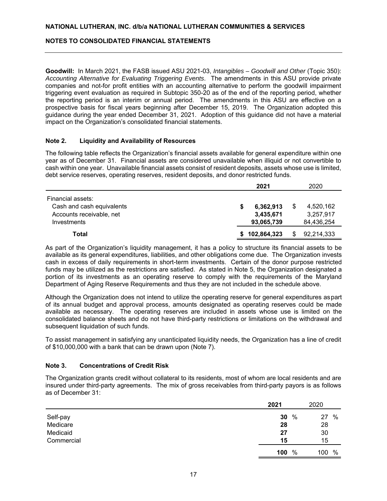**Goodwill:** In March 2021, the FASB issued ASU 2021-03, *Intangibles – Goodwill and Other* (Topic 350): *Accounting Alternative for Evaluating Triggering Events*. The amendments in this ASU provide private companies and not-for profit entities with an accounting alternative to perform the goodwill impairment triggering event evaluation as required in Subtopic 350-20 as of the end of the reporting period, whether the reporting period is an interim or annual period. The amendments in this ASU are effective on a prospective basis for fiscal years beginning after December 15, 2019. The Organization adopted this guidance during the year ended December 31, 2021. Adoption of this guidance did not have a material impact on the Organization's consolidated financial statements.

#### **Note 2. Liquidity and Availability of Resources**

The following table reflects the Organization's financial assets available for general expenditure within one year as of December 31. Financial assets are considered unavailable when illiquid or not convertible to cash within one year. Unavailable financial assets consist of resident deposits, assets whose use is limited, debt service reserves, operating reserves, resident deposits, and donor restricted funds.

|                           | 2021              | 2020       |
|---------------------------|-------------------|------------|
| Financial assets:         |                   |            |
| Cash and cash equivalents | 6,362,913         | 4,520,162  |
| Accounts receivable, net  | 3,435,671         | 3,257,917  |
| Investments               | 93,065,739        | 84,436,254 |
| Total                     | 102,864,323<br>S. | 92,214,333 |

As part of the Organization's liquidity management, it has a policy to structure its financial assets to be available as its general expenditures, liabilities, and other obligations come due. The Organization invests cash in excess of daily requirements in short-term investments. Certain of the donor purpose restricted funds may be utilized as the restrictions are satisfied. As stated in Note 5, the Organization designated a portion of its investments as an operating reserve to comply with the requirements of the Maryland Department of Aging Reserve Requirements and thus they are not included in the schedule above.

Although the Organization does not intend to utilize the operating reserve for general expenditures as part of its annual budget and approval process, amounts designated as operating reserves could be made available as necessary. The operating reserves are included in assets whose use is limited on the consolidated balance sheets and do not have third-party restrictions or limitations on the withdrawal and subsequent liquidation of such funds.

To assist management in satisfying any unanticipated liquidity needs, the Organization has a line of credit of \$10,000,000 with a bank that can be drawn upon (Note 7).

#### **Note 3. Concentrations of Credit Risk**

The Organization grants credit without collateral to its residents, most of whom are local residents and are insured under third-party agreements. The mix of gross receivables from third-party payors is as follows as of December 31:

|            | 2021 | 2020          |
|------------|------|---------------|
| Self-pay   | 30   | %<br>%<br>27  |
| Medicare   | 28   | 28            |
| Medicaid   | 27   | 30            |
| Commercial | 15   | 15            |
|            | 100  | %<br>100<br>% |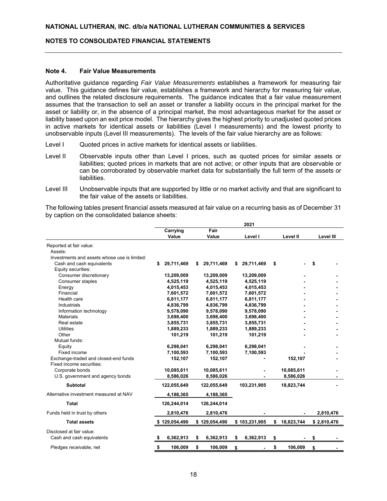#### **Note 4. Fair Value Measurements**

Authoritative guidance regarding *Fair Value Measurements* establishes a framework for measuring fair value. This guidance defines fair value, establishes a framework and hierarchy for measuring fair value, and outlines the related disclosure requirements. The guidance indicates that a fair value measurement assumes that the transaction to sell an asset or transfer a liability occurs in the principal market for the asset or liability or, in the absence of a principal market, the most advantageous market for the asset or liability based upon an exit price model. The hierarchy gives the highest priority to unadjusted quoted prices in active markets for identical assets or liabilities (Level I measurements) and the lowest priority to unobservable inputs (Level III measurements). The levels of the fair value hierarchy are as follows:

- Level I Quoted prices in active markets for identical assets or liabilities.
- Level II Observable inputs other than Level I prices, such as quoted prices for similar assets or liabilities; quoted prices in markets that are not active; or other inputs that are observable or can be corroborated by observable market data for substantially the full term of the assets or liabilities.
- Level III Unobservable inputs that are supported by little or no market activity and that are significant to the fair value of the assets or liabilities.

The following tables present financial assets measured at fair value on a recurring basis as of December 31 by caption on the consolidated balance sheets:

|                                              |                   |                  | 2021            |                  |             |
|----------------------------------------------|-------------------|------------------|-----------------|------------------|-------------|
|                                              | Carrying<br>Value | Fair<br>Value    | Level I         | Level II         | Level III   |
| Reported at fair value:                      |                   |                  |                 |                  |             |
| Assets:                                      |                   |                  |                 |                  |             |
| Investments and assets whose use is limited: |                   |                  |                 |                  |             |
| Cash and cash equivalents                    | \$<br>29,711,469  | 29,711,469<br>\$ | 29,711,469      | \$               | \$          |
| Equity securities:                           |                   |                  |                 |                  |             |
| Consumer discretionary                       | 13,209,009        | 13,209,009       | 13,209,009      |                  |             |
| Consumer staples                             | 4,525,119         | 4,525,119        | 4,525,119       |                  |             |
| Energy                                       | 4,015,453         | 4,015,453        | 4,015,453       |                  |             |
| Financial                                    | 7,601,572         | 7,601,572        | 7,601,572       |                  |             |
| Health care                                  | 6,811,177         | 6,811,177        | 6,811,177       |                  |             |
| Industrials                                  | 4,836,799         | 4,836,799        | 4,836,799       |                  |             |
| Information technology                       | 9,578,090         | 9,578,090        | 9,578,090       |                  |             |
| <b>Materials</b>                             | 3,698,400         | 3,698,400        | 3,698,400       |                  |             |
| Real estate                                  | 3,855,731         | 3,855,731        | 3,855,731       |                  |             |
| Utilities                                    | 1,889,233         | 1,889,233        | 1,889,233       |                  |             |
| Other                                        | 101,219           | 101,219          | 101,219         |                  |             |
| Mutual funds:                                |                   |                  |                 |                  |             |
| Equity                                       | 6,298,041         | 6,298,041        | 6,298,041       |                  |             |
| Fixed income                                 | 7,100,593         | 7,100,593        | 7,100,593       |                  |             |
| Exchange-traded and closed-end funds         | 152,107           | 152,107          |                 | 152,107          |             |
| Fixed income securities:                     |                   |                  |                 |                  |             |
| Corporate bonds                              | 10,085,611        | 10,085,611       |                 | 10,085,611       |             |
| U.S. government and agency bonds             | 8,586,026         | 8,586,026        |                 | 8,586,026        |             |
| <b>Subtotal</b>                              | 122,055,649       | 122,055,649      | 103,231,905     | 18,823,744       |             |
| Alternative investment measured at NAV       | 4,188,365         | 4,188,365        |                 |                  |             |
| Total                                        | 126,244,014       | 126,244,014      |                 |                  |             |
| Funds held in trust by others                | 2,810,476         | 2,810,476        |                 |                  | 2,810,476   |
| <b>Total assets</b>                          | \$129,054,490     | \$129,054,490    | \$103,231,905   | \$<br>18,823,744 | \$2,810,476 |
| Disclosed at fair value:                     |                   |                  |                 |                  |             |
| Cash and cash equivalents                    | 6,362,913         | 6,362,913<br>\$  | 6,362,913<br>\$ | \$               | \$          |
| Pledges receivable, net                      | 106,009<br>\$     | \$<br>106,009    | \$              | \$<br>106,009    | \$          |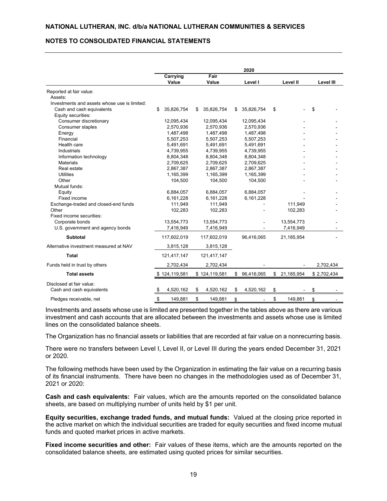|                                                       |                  |                  | 2020             |                  |                |
|-------------------------------------------------------|------------------|------------------|------------------|------------------|----------------|
|                                                       | Carrying         | Fair             |                  |                  |                |
|                                                       | Value            | Value            | Level I          | Level II         | Level III      |
| Reported at fair value:                               |                  |                  |                  |                  |                |
| Assets:                                               |                  |                  |                  |                  |                |
| Investments and assets whose use is limited:          |                  |                  |                  |                  |                |
| Cash and cash equivalents                             | \$<br>35,826,754 | \$<br>35,826,754 | \$<br>35,826,754 | \$               | \$             |
| Equity securities:                                    |                  |                  |                  |                  |                |
| Consumer discretionary                                | 12,095,434       | 12,095,434       | 12,095,434       |                  |                |
| Consumer staples                                      | 2,570,936        | 2,570,936        | 2,570,936        |                  |                |
| Energy                                                | 1,487,498        | 1,487,498        | 1,487,498        |                  |                |
| Financial                                             | 5,507,253        | 5,507,253        | 5,507,253        |                  |                |
| Health care                                           | 5,491,691        | 5,491,691        | 5,491,691        |                  |                |
| Industrials                                           | 4,739,955        | 4,739,955        | 4,739,955        |                  |                |
| Information technology                                | 8,804,348        | 8,804,348        | 8,804,348        |                  |                |
| <b>Materials</b>                                      | 2,709,625        | 2,709,625        | 2,709,625        |                  |                |
| Real estate                                           | 2,867,387        | 2,867,387        | 2,867,387        |                  |                |
| <b>Utilities</b>                                      | 1,165,399        | 1,165,399        | 1,165,399        |                  |                |
| Other                                                 | 104,500          | 104,500          | 104,500          |                  |                |
| Mutual funds:                                         |                  |                  |                  |                  |                |
| Equity                                                | 6,884,057        | 6,884,057        | 6,884,057        |                  |                |
| Fixed income                                          | 6,161,228        | 6,161,228        | 6,161,228        |                  |                |
| Exchange-traded and closed-end funds                  | 111,949          | 111,949          |                  | 111,949          |                |
| Other                                                 | 102,283          | 102,283          |                  | 102,283          |                |
| Fixed income securities:                              |                  |                  |                  |                  |                |
| Corporate bonds                                       | 13,554,773       | 13,554,773       |                  | 13,554,773       |                |
| U.S. government and agency bonds                      | 7,416,949        | 7,416,949        |                  | 7,416,949        | $\blacksquare$ |
| <b>Subtotal</b>                                       | 117,602,019      | 117,602,019      | 96,416,065       | 21,185,954       |                |
| Alternative investment measured at NAV                | 3,815,128        | 3,815,128        |                  |                  |                |
| <b>Total</b>                                          | 121,417,147      | 121,417,147      |                  |                  |                |
| Funds held in trust by others                         | 2,702,434        | 2,702,434        |                  |                  | 2,702,434      |
| <b>Total assets</b>                                   | \$124,119,581    | \$124,119,581    | \$<br>96,416,065 | \$<br>21,185,954 | \$2,702,434    |
| Disclosed at fair value:<br>Cash and cash equivalents | \$<br>4,520,162  | \$<br>4,520,162  | \$<br>4,520,162  | \$               | \$             |
| Pledges receivable, net                               | \$<br>149,881    | \$<br>149,881    | \$               | \$<br>149,881    | \$             |

Investments and assets whose use is limited are presented together in the tables above as there are various investment and cash accounts that are allocated between the investments and assets whose use is limited lines on the consolidated balance sheets.

The Organization has no financial assets or liabilities that are recorded at fair value on a nonrecurring basis.

There were no transfers between Level I, Level II, or Level III during the years ended December 31, 2021 or 2020.

The following methods have been used by the Organization in estimating the fair value on a recurring basis of its financial instruments. There have been no changes in the methodologies used as of December 31, 2021 or 2020:

**Cash and cash equivalents:** Fair values, which are the amounts reported on the consolidated balance sheets, are based on multiplying number of units held by \$1 per unit.

**Equity securities, exchange traded funds, and mutual funds:** Valued at the closing price reported in the active market on which the individual securities are traded for equity securities and fixed income mutual funds and quoted market prices in active markets.

**Fixed income securities and other:** Fair values of these items, which are the amounts reported on the consolidated balance sheets, are estimated using quoted prices for similar securities.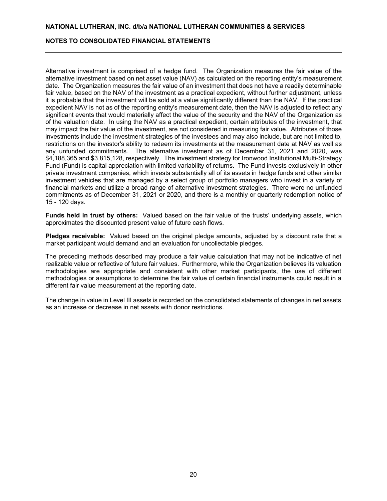#### **NOTES TO CONSOLIDATED FINANCIAL STATEMENTS**

Alternative investment is comprised of a hedge fund. The Organization measures the fair value of the alternative investment based on net asset value (NAV) as calculated on the reporting entity's measurement date. The Organization measures the fair value of an investment that does not have a readily determinable fair value, based on the NAV of the investment as a practical expedient, without further adjustment, unless it is probable that the investment will be sold at a value significantly different than the NAV. If the practical expedient NAV is not as of the reporting entity's measurement date, then the NAV is adjusted to reflect any significant events that would materially affect the value of the security and the NAV of the Organization as of the valuation date. In using the NAV as a practical expedient, certain attributes of the investment, that may impact the fair value of the investment, are not considered in measuring fair value. Attributes of those investments include the investment strategies of the investees and may also include, but are not limited to, restrictions on the investor's ability to redeem its investments at the measurement date at NAV as well as any unfunded commitments. The alternative investment as of December 31, 2021 and 2020, was \$4,188,365 and \$3,815,128, respectively. The investment strategy for Ironwood Institutional Multi-Strategy Fund (Fund) is capital appreciation with limited variability of returns. The Fund invests exclusively in other private investment companies, which invests substantially all of its assets in hedge funds and other similar investment vehicles that are managed by a select group of portfolio managers who invest in a variety of financial markets and utilize a broad range of alternative investment strategies. There were no unfunded commitments as of December 31, 2021 or 2020, and there is a monthly or quarterly redemption notice of 15 - 120 days.

**Funds held in trust by others:** Valued based on the fair value of the trusts' underlying assets, which approximates the discounted present value of future cash flows.

**Pledges receivable:** Valued based on the original pledge amounts, adjusted by a discount rate that a market participant would demand and an evaluation for uncollectable pledges.

The preceding methods described may produce a fair value calculation that may not be indicative of net realizable value or reflective of future fair values. Furthermore, while the Organization believes its valuation methodologies are appropriate and consistent with other market participants, the use of different methodologies or assumptions to determine the fair value of certain financial instruments could result in a different fair value measurement at the reporting date.

The change in value in Level III assets is recorded on the consolidated statements of changes in net assets as an increase or decrease in net assets with donor restrictions.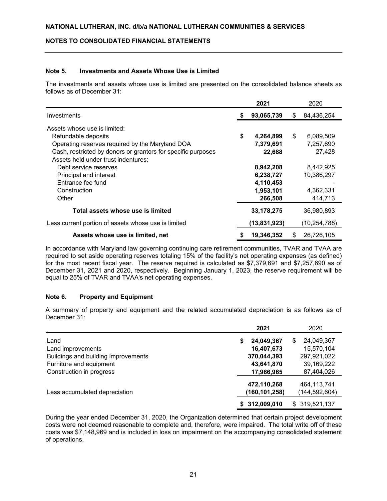#### **Note 5. Investments and Assets Whose Use is Limited**

The investments and assets whose use is limited are presented on the consolidated balance sheets as follows as of December 31:

|                                                              | 2021            |    | 2020         |
|--------------------------------------------------------------|-----------------|----|--------------|
| Investments                                                  | 93,065,739      | \$ | 84,436,254   |
| Assets whose use is limited:                                 |                 |    |              |
| Refundable deposits                                          | \$<br>4,264,899 | \$ | 6,089,509    |
| Operating reserves required by the Maryland DOA              | 7,379,691       |    | 7,257,690    |
| Cash, restricted by donors or grantors for specific purposes | 22,688          |    | 27,428       |
| Assets held under trust indentures:                          |                 |    |              |
| Debt service reserves                                        | 8,942,208       |    | 8,442,925    |
| Principal and interest                                       | 6,238,727       |    | 10,386,297   |
| Entrance fee fund                                            | 4,110,453       |    |              |
| Construction                                                 | 1,953,101       |    | 4,362,331    |
| Other                                                        | 266,508         |    | 414,713      |
| Total assets whose use is limited                            | 33, 178, 275    |    | 36.980.893   |
| Less current portion of assets whose use is limited          | (13,831,923)    |    | (10,254,788) |
| Assets whose use is limited, net                             | 19,346,352      | S  | 26,726,105   |

In accordance with Maryland law governing continuing care retirement communities, TVAR and TVAA are required to set aside operating reserves totaling 15% of the facility's net operating expenses (as defined) for the most recent fiscal year. The reserve required is calculated as \$7,379,691 and \$7,257,690 as of December 31, 2021 and 2020, respectively. Beginning January 1, 2023, the reserve requirement will be equal to 25% of TVAR and TVAA's net operating expenses.

#### **Note 6. Property and Equipment**

A summary of property and equipment and the related accumulated depreciation is as follows as of December 31:

|                                     | 2021                           | 2020                         |
|-------------------------------------|--------------------------------|------------------------------|
| Land                                | 24,049,367<br>\$               | 24,049,367<br>\$.            |
| Land improvements                   | 16,407,673                     | 15,570,104                   |
| Buildings and building improvements | 370,044,393                    | 297,921,022                  |
| Furniture and equipment             | 43,641,870                     | 39,169,222                   |
| Construction in progress            | 17,966,965                     | 87,404,026                   |
| Less accumulated depreciation       | 472,110,268<br>(160, 101, 258) | 464,113,741<br>(144,592,604) |
|                                     | \$312,009,010                  | \$319,521,137                |

During the year ended December 31, 2020, the Organization determined that certain project development costs were not deemed reasonable to complete and, therefore, were impaired. The total write off of these costs was \$7,148,969 and is included in loss on impairment on the accompanying consolidated statement of operations.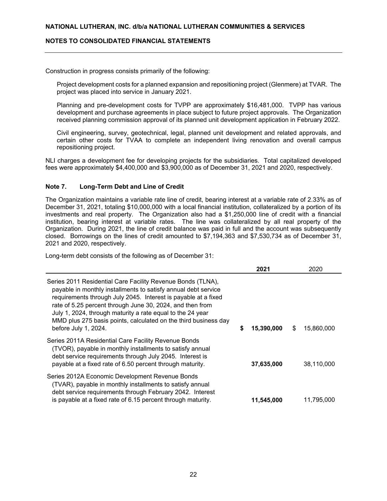#### **NOTES TO CONSOLIDATED FINANCIAL STATEMENTS**

Construction in progress consists primarily of the following:

Project development costs for a planned expansion and repositioning project (Glenmere) at TVAR. The project was placed into service in January 2021.

Planning and pre-development costs for TVPP are approximately \$16,481,000. TVPP has various development and purchase agreements in place subject to future project approvals. The Organization received planning commission approval of its planned unit development application in February 2022.

Civil engineering, survey, geotechnical, legal, planned unit development and related approvals, and certain other costs for TVAA to complete an independent living renovation and overall campus repositioning project.

NLI charges a development fee for developing projects for the subsidiaries. Total capitalized developed fees were approximately \$4,400,000 and \$3,900,000 as of December 31, 2021 and 2020, respectively.

#### **Note 7. Long-Term Debt and Line of Credit**

The Organization maintains a variable rate line of credit, bearing interest at a variable rate of 2.33% as of December 31, 2021, totaling \$10,000,000 with a local financial institution, collateralized by a portion of its investments and real property. The Organization also had a \$1,250,000 line of credit with a financial institution, bearing interest at variable rates. The line was collateralized by all real property of the Organization. During 2021, the line of credit balance was paid in full and the account was subsequently closed. Borrowings on the lines of credit amounted to \$7,194,363 and \$7,530,734 as of December 31, 2021 and 2020, respectively.

Long-term debt consists of the following as of December 31:

|                                                                                                                                                                                                                                                                                                                                                                                                                       |   | 2021       | 2020             |
|-----------------------------------------------------------------------------------------------------------------------------------------------------------------------------------------------------------------------------------------------------------------------------------------------------------------------------------------------------------------------------------------------------------------------|---|------------|------------------|
| Series 2011 Residential Care Facility Revenue Bonds (TLNA),<br>payable in monthly installments to satisfy annual debt service<br>requirements through July 2045. Interest is payable at a fixed<br>rate of 5.25 percent through June 30, 2024, and then from<br>July 1, 2024, through maturity a rate equal to the 24 year<br>MMD plus 275 basis points, calculated on the third business day<br>before July 1, 2024. | S | 15,390,000 | \$<br>15,860,000 |
| Series 2011A Residential Care Facility Revenue Bonds<br>(TVOR), payable in monthly installments to satisfy annual<br>debt service requirements through July 2045. Interest is<br>payable at a fixed rate of 6.50 percent through maturity.                                                                                                                                                                            |   | 37,635,000 | 38,110,000       |
| Series 2012A Economic Development Revenue Bonds<br>(TVAR), payable in monthly installments to satisfy annual<br>debt service requirements through February 2042. Interest<br>is payable at a fixed rate of 6.15 percent through maturity.                                                                                                                                                                             |   | 11,545,000 | 11,795,000       |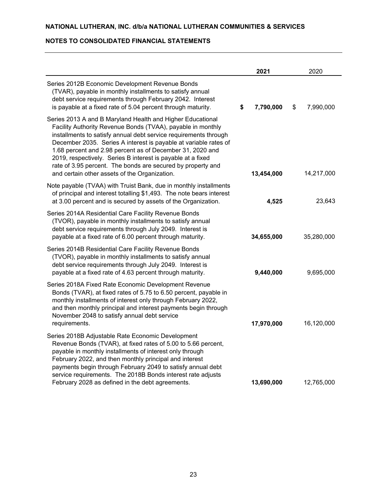# **NOTES TO CONSOLIDATED FINANCIAL STATEMENTS**

|                                                                                                                                                                                                                                                                                                                                                                                                                                                                                                               | 2021            | 2020            |
|---------------------------------------------------------------------------------------------------------------------------------------------------------------------------------------------------------------------------------------------------------------------------------------------------------------------------------------------------------------------------------------------------------------------------------------------------------------------------------------------------------------|-----------------|-----------------|
| Series 2012B Economic Development Revenue Bonds<br>(TVAR), payable in monthly installments to satisfy annual<br>debt service requirements through February 2042. Interest<br>is payable at a fixed rate of 5.04 percent through maturity.                                                                                                                                                                                                                                                                     | \$<br>7,790,000 | \$<br>7,990,000 |
| Series 2013 A and B Maryland Health and Higher Educational<br>Facility Authority Revenue Bonds (TVAA), payable in monthly<br>installments to satisfy annual debt service requirements through<br>December 2035. Series A interest is payable at variable rates of<br>1.68 percent and 2.98 percent as of December 31, 2020 and<br>2019, respectively. Series B interest is payable at a fixed<br>rate of 3.95 percent. The bonds are secured by property and<br>and certain other assets of the Organization. | 13,454,000      | 14,217,000      |
| Note payable (TVAA) with Truist Bank, due in monthly installments<br>of principal and interest totalling \$1,493. The note bears interest<br>at 3.00 percent and is secured by assets of the Organization.                                                                                                                                                                                                                                                                                                    | 4,525           | 23,643          |
| Series 2014A Residential Care Facility Revenue Bonds<br>(TVOR), payable in monthly installments to satisfy annual<br>debt service requirements through July 2049. Interest is<br>payable at a fixed rate of 6.00 percent through maturity.                                                                                                                                                                                                                                                                    | 34,655,000      | 35,280,000      |
| Series 2014B Residential Care Facility Revenue Bonds<br>(TVOR), payable in monthly installments to satisfy annual<br>debt service requirements through July 2049. Interest is<br>payable at a fixed rate of 4.63 percent through maturity.                                                                                                                                                                                                                                                                    | 9,440,000       | 9,695,000       |
| Series 2018A Fixed Rate Economic Development Revenue<br>Bonds (TVAR), at fixed rates of 5.75 to 6.50 percent, payable in<br>monthly installments of interest only through February 2022,<br>and then monthly principal and interest payments begin through<br>November 2048 to satisfy annual debt service<br>requirements.                                                                                                                                                                                   | 17,970,000      | 16,120,000      |
| Series 2018B Adjustable Rate Economic Development<br>Revenue Bonds (TVAR), at fixed rates of 5.00 to 5.66 percent,<br>payable in monthly installments of interest only through<br>February 2022, and then monthly principal and interest<br>payments begin through February 2049 to satisfy annual debt<br>service requirements. The 2018B Bonds interest rate adjusts<br>February 2028 as defined in the debt agreements.                                                                                    | 13,690,000      | 12,765,000      |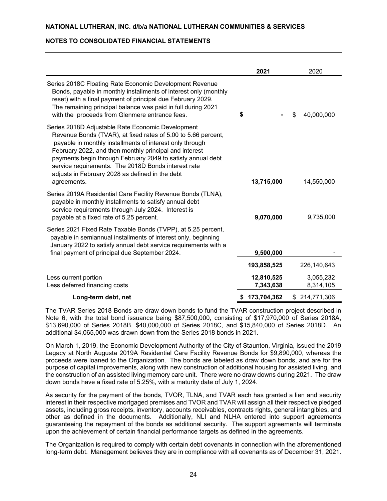#### **NOTES TO CONSOLIDATED FINANCIAL STATEMENTS**

|                                                                                                                                                                                                                                                                                                                                                                                                                                  | 2021                    | 2020                   |
|----------------------------------------------------------------------------------------------------------------------------------------------------------------------------------------------------------------------------------------------------------------------------------------------------------------------------------------------------------------------------------------------------------------------------------|-------------------------|------------------------|
| Series 2018C Floating Rate Economic Development Revenue<br>Bonds, payable in monthly installments of interest only (monthly<br>reset) with a final payment of principal due February 2029.<br>The remaining principal balance was paid in full during 2021<br>with the proceeds from Glenmere entrance fees.                                                                                                                     | \$                      | \$<br>40,000,000       |
| Series 2018D Adjustable Rate Economic Development<br>Revenue Bonds (TVAR), at fixed rates of 5.00 to 5.66 percent,<br>payable in monthly installments of interest only through<br>February 2022, and then monthly principal and interest<br>payments begin through February 2049 to satisfy annual debt<br>service requirements. The 2018D Bonds interest rate<br>adjusts in February 2028 as defined in the debt<br>agreements. | 13,715,000              | 14,550,000             |
| Series 2019A Residential Care Facility Revenue Bonds (TLNA),<br>payable in monthly installments to satisfy annual debt<br>service requirements through July 2024. Interest is<br>payable at a fixed rate of 5.25 percent.                                                                                                                                                                                                        | 9,070,000               | 9,735,000              |
| Series 2021 Fixed Rate Taxable Bonds (TVPP), at 5.25 percent,<br>payable in semiannual installments of interest only, beginning<br>January 2022 to satisfy annual debt service requirements with a<br>final payment of principal due September 2024.                                                                                                                                                                             | 9,500,000               |                        |
|                                                                                                                                                                                                                                                                                                                                                                                                                                  | 193,858,525             | 226,140,643            |
| Less current portion<br>Less deferred financing costs                                                                                                                                                                                                                                                                                                                                                                            | 12,810,525<br>7,343,638 | 3,055,232<br>8,314,105 |
| Long-term debt, net                                                                                                                                                                                                                                                                                                                                                                                                              | 173,704,362             | \$214,771,306          |

The TVAR Series 2018 Bonds are draw down bonds to fund the TVAR construction project described in Note 6, with the total bond issuance being \$87,500,000, consisting of \$17,970,000 of Series 2018A, \$13,690,000 of Series 2018B, \$40,000,000 of Series 2018C, and \$15,840,000 of Series 2018D. An additional \$4,065,000 was drawn down from the Series 2018 bonds in 2021.

On March 1, 2019, the Economic Development Authority of the City of Staunton, Virginia, issued the 2019 Legacy at North Augusta 2019A Residential Care Facility Revenue Bonds for \$9,890,000, whereas the proceeds were loaned to the Organization. The bonds are labeled as draw down bonds, and are for the purpose of capital improvements, along with new construction of additional housing for assisted living, and the construction of an assisted living memory care unit. There were no draw downs during 2021. The draw down bonds have a fixed rate of 5.25%, with a maturity date of July 1, 2024.

As security for the payment of the bonds, TVOR, TLNA, and TVAR each has granted a lien and security interest in their respective mortgaged premises and TVOR and TVAR will assign all their respective pledged assets, including gross receipts, inventory, accounts receivables, contracts rights, general intangibles, and other as defined in the documents. Additionally, NLI and NLHA entered into support agreements guaranteeing the repayment of the bonds as additional security. The support agreements will terminate upon the achievement of certain financial performance targets as defined in the agreements.

The Organization is required to comply with certain debt covenants in connection with the aforementioned long-term debt. Management believes they are in compliance with all covenants as of December 31, 2021.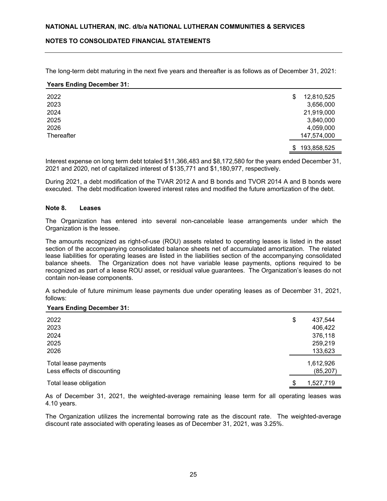The long-term debt maturing in the next five years and thereafter is as follows as of December 31, 2021:

| <b>Years Ending December 31:</b> |                    |
|----------------------------------|--------------------|
| 2022                             | 12,810,525<br>\$   |
| 2023                             | 3,656,000          |
| 2024                             | 21,919,000         |
| 2025                             | 3,840,000          |
| 2026                             | 4,059,000          |
| Thereafter                       | 147,574,000        |
|                                  | 193,858,525<br>\$. |

Interest expense on long term debt totaled \$11,366,483 and \$8,172,580 for the years ended December 31, 2021 and 2020, net of capitalized interest of \$135,771 and \$1,180,977, respectively.

During 2021, a debt modification of the TVAR 2012 A and B bonds and TVOR 2014 A and B bonds were executed. The debt modification lowered interest rates and modified the future amortization of the debt.

#### **Note 8. Leases**

The Organization has entered into several non-cancelable lease arrangements under which the Organization is the lessee.

The amounts recognized as right-of-use (ROU) assets related to operating leases is listed in the asset section of the accompanying consolidated balance sheets net of accumulated amortization. The related lease liabilities for operating leases are listed in the liabilities section of the accompanying consolidated balance sheets. The Organization does not have variable lease payments, options required to be recognized as part of a lease ROU asset, or residual value guarantees. The Organization's leases do not contain non-lease components.

A schedule of future minimum lease payments due under operating leases as of December 31, 2021, follows:

#### **Years Ending December 31:**

| 2022                                                | \$<br>437,544          |
|-----------------------------------------------------|------------------------|
| 2023                                                | 406,422                |
| 2024                                                | 376,118                |
| 2025                                                | 259,219                |
| 2026                                                | 133,623                |
| Total lease payments<br>Less effects of discounting | 1,612,926<br>(85, 207) |
| Total lease obligation                              | \$<br>1,527,719        |

As of December 31, 2021, the weighted-average remaining lease term for all operating leases was 4.10 years.

The Organization utilizes the incremental borrowing rate as the discount rate. The weighted-average discount rate associated with operating leases as of December 31, 2021, was 3.25%.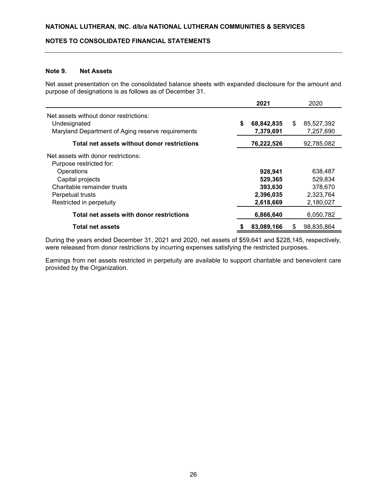#### **Note 9. Net Assets**

Net asset presentation on the consolidated balance sheets with expanded disclosure for the amount and purpose of designations is as follows as of December 31.

|                                                                                                                                                                                 | 2021                                                    |     | 2020                                                    |
|---------------------------------------------------------------------------------------------------------------------------------------------------------------------------------|---------------------------------------------------------|-----|---------------------------------------------------------|
| Net assets without donor restrictions:<br>Undesignated<br>Maryland Department of Aging reserve requirements                                                                     | \$<br>68,842,835<br>7,379,691                           | \$. | 85,527,392<br>7,257,690                                 |
| Total net assets without donor restrictions                                                                                                                                     | 76,222,526                                              |     | 92,785,082                                              |
| Net assets with donor restrictions:<br>Purpose restricted for:<br>Operations<br>Capital projects<br>Charitable remainder trusts<br>Perpetual trusts<br>Restricted in perpetuity | 928,941<br>529,365<br>393,630<br>2,396,035<br>2,618,669 |     | 638,487<br>529,834<br>378,670<br>2,323,764<br>2,180,027 |
| Total net assets with donor restrictions                                                                                                                                        | 6,866,640                                               |     | 6,050,782                                               |
| <b>Total net assets</b>                                                                                                                                                         | 83,089,166                                              | \$  | 98,835,864                                              |

During the years ended December 31, 2021 and 2020, net assets of \$59,641 and \$228,145, respectively, were released from donor restrictions by incurring expenses satisfying the restricted purposes.

Earnings from net assets restricted in perpetuity are available to support charitable and benevolent care provided by the Organization.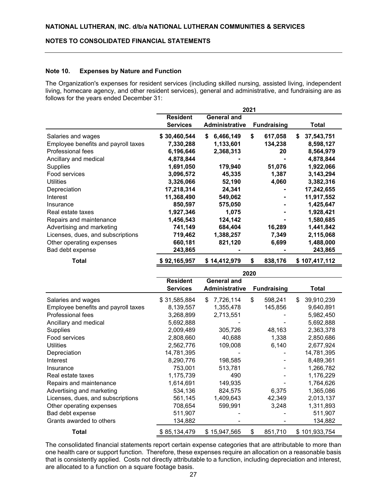#### **Note 10. Expenses by Nature and Function**

The Organization's expenses for resident services (including skilled nursing, assisted living, independent living, homecare agency, and other resident services), general and administrative, and fundraising are as follows for the years ended December 31:

|                                     | 2021            |                       |                    |                 |  |  |
|-------------------------------------|-----------------|-----------------------|--------------------|-----------------|--|--|
|                                     | <b>Resident</b> | <b>General and</b>    |                    |                 |  |  |
|                                     | <b>Services</b> | <b>Administrative</b> | <b>Fundraising</b> | Total           |  |  |
| Salaries and wages                  | \$30,460,544    | 6,466,149<br>\$       | \$<br>617,058      | 37,543,751<br>S |  |  |
| Employee benefits and payroll taxes | 7,330,288       | 1,133,601             | 134,238            | 8,598,127       |  |  |
| Professional fees                   | 6,196,646       | 2,368,313             | 20                 | 8,564,979       |  |  |
| Ancillary and medical               | 4,878,844       |                       |                    | 4,878,844       |  |  |
| <b>Supplies</b>                     | 1,691,050       | 179,940               | 51,076             | 1,922,066       |  |  |
| Food services                       | 3,096,572       | 45,335                | 1,387              | 3,143,294       |  |  |
| <b>Utilities</b>                    | 3,326,066       | 52,190                | 4,060              | 3,382,316       |  |  |
| Depreciation                        | 17,218,314      | 24,341                |                    | 17,242,655      |  |  |
| Interest                            | 11,368,490      | 549,062               |                    | 11,917,552      |  |  |
| Insurance                           | 850,597         | 575,050               |                    | 1,425,647       |  |  |
| Real estate taxes                   | 1,927,346       | 1,075                 |                    | 1,928,421       |  |  |
| Repairs and maintenance             | 1,456,543       | 124,142               |                    | 1,580,685       |  |  |
| Advertising and marketing           | 741,149         | 684,404               | 16,289             | 1,441,842       |  |  |
| Licenses, dues, and subscriptions   | 719,462         | 1,388,257             | 7,349              | 2,115,068       |  |  |
| Other operating expenses            | 660,181         | 821,120               | 6,699              | 1,488,000       |  |  |
| Bad debt expense                    | 243,865         |                       |                    | 243,865         |  |  |
| <b>Total</b>                        | \$92,165,957    | \$14,412,979          | \$<br>838,176      | \$107,417,112   |  |  |

|                                     | 2020                               |                                             |                    |                  |  |
|-------------------------------------|------------------------------------|---------------------------------------------|--------------------|------------------|--|
|                                     | <b>Resident</b><br><b>Services</b> | <b>General and</b><br><b>Administrative</b> | <b>Fundraising</b> | Total            |  |
| Salaries and wages                  | \$31,585,884                       | 7,726,114<br>\$                             | \$<br>598,241      | 39,910,239<br>\$ |  |
| Employee benefits and payroll taxes | 8,139,557                          | 1,355,478                                   | 145,856            | 9,640,891        |  |
| Professional fees                   | 3,268,899                          | 2,713,551                                   |                    | 5,982,450        |  |
| Ancillary and medical               | 5,692,888                          |                                             |                    | 5,692,888        |  |
| Supplies                            | 2,009,489                          | 305,726                                     | 48,163             | 2,363,378        |  |
| Food services                       | 2,808,660                          | 40,688                                      | 1,338              | 2,850,686        |  |
| <b>Utilities</b>                    | 2,562,776                          | 109,008                                     | 6,140              | 2,677,924        |  |
| Depreciation                        | 14,781,395                         |                                             |                    | 14,781,395       |  |
| Interest                            | 8,290,776                          | 198,585                                     |                    | 8,489,361        |  |
| Insurance                           | 753,001                            | 513,781                                     |                    | 1,266,782        |  |
| Real estate taxes                   | 1,175,739                          | 490                                         |                    | 1,176,229        |  |
| Repairs and maintenance             | 1,614,691                          | 149,935                                     |                    | 1,764,626        |  |
| Advertising and marketing           | 534,136                            | 824,575                                     | 6,375              | 1,365,086        |  |
| Licenses, dues, and subscriptions   | 561,145                            | 1,409,643                                   | 42,349             | 2,013,137        |  |
| Other operating expenses            | 708,654                            | 599,991                                     | 3,248              | 1,311,893        |  |
| Bad debt expense                    | 511,907                            |                                             |                    | 511,907          |  |
| Grants awarded to others            | 134,882                            |                                             |                    | 134,882          |  |
| <b>Total</b>                        | \$85,134,479                       | \$15,947,565                                | \$<br>851,710      | \$101,933,754    |  |

The consolidated financial statements report certain expense categories that are attributable to more than one health care or support function. Therefore, these expenses require an allocation on a reasonable basis that is consistently applied. Costs not directly attributable to a function, including depreciation and interest, are allocated to a function on a square footage basis.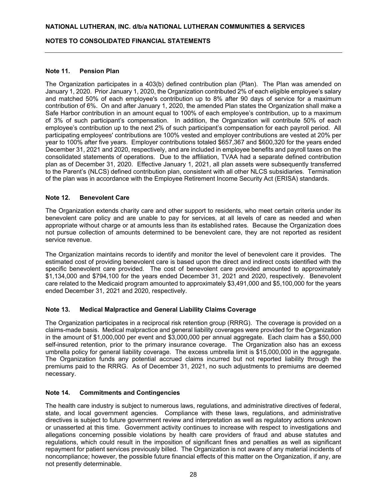# **Note 11. Pension Plan**

The Organization participates in a 403(b) defined contribution plan (Plan). The Plan was amended on January 1, 2020. Prior January 1, 2020, the Organization contributed 2% of each eligible employee's salary and matched 50% of each employee's contribution up to 8% after 90 days of service for a maximum contribution of 6%. On and after January 1, 2020, the amended Plan states the Organization shall make a Safe Harbor contribution in an amount equal to 100% of each employee's contribution, up to a maximum of 3% of such participant's compensation. In addition, the Organization will contribute 50% of each employee's contribution up to the next 2% of such participant's compensation for each payroll period. All participating employees' contributions are 100% vested and employer contributions are vested at 20% per year to 100% after five years. Employer contributions totaled \$657,367 and \$600,320 for the years ended December 31, 2021 and 2020, respectively, and are included in employee benefits and payroll taxes on the consolidated statements of operations. Due to the affiliation, TVAA had a separate defined contribution plan as of December 31, 2020. Effective January 1, 2021, all plan assets were subsequently transferred to the Parent's (NLCS) defined contribution plan, consistent with all other NLCS subsidiaries. Termination of the plan was in accordance with the Employee Retirement Income Security Act (ERISA) standards.

#### **Note 12. Benevolent Care**

The Organization extends charity care and other support to residents, who meet certain criteria under its benevolent care policy and are unable to pay for services, at all levels of care as needed and when appropriate without charge or at amounts less than its established rates. Because the Organization does not pursue collection of amounts determined to be benevolent care, they are not reported as resident service revenue.

The Organization maintains records to identify and monitor the level of benevolent care it provides. The estimated cost of providing benevolent care is based upon the direct and indirect costs identified with the specific benevolent care provided. The cost of benevolent care provided amounted to approximately \$1,134,000 and \$794,100 for the years ended December 31, 2021 and 2020, respectively. Benevolent care related to the Medicaid program amounted to approximately \$3,491,000 and \$5,100,000 for the years ended December 31, 2021 and 2020, respectively.

#### **Note 13. Medical Malpractice and General Liability Claims Coverage**

The Organization participates in a reciprocal risk retention group (RRRG). The coverage is provided on a claims-made basis. Medical malpractice and general liability coverages were provided for the Organization in the amount of \$1,000,000 per event and \$3,000,000 per annual aggregate. Each claim has a \$50,000 self-insured retention, prior to the primary insurance coverage. The Organization also has an excess umbrella policy for general liability coverage. The excess umbrella limit is \$15,000,000 in the aggregate. The Organization funds any potential accrued claims incurred but not reported liability through the premiums paid to the RRRG. As of December 31, 2021, no such adjustments to premiums are deemed necessary.

#### **Note 14. Commitments and Contingencies**

The health care industry is subject to numerous laws, regulations, and administrative directives of federal, state, and local government agencies. Compliance with these laws, regulations, and administrative directives is subject to future government review and interpretation as well as regulatory actions unknown or unasserted at this time. Government activity continues to increase with respect to investigations and allegations concerning possible violations by health care providers of fraud and abuse statutes and regulations, which could result in the imposition of significant fines and penalties as well as significant repayment for patient services previously billed. The Organization is not aware of any material incidents of noncompliance; however, the possible future financial effects of this matter on the Organization, if any, are not presently determinable.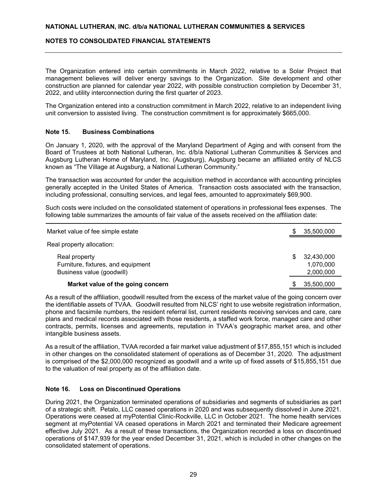#### **NOTES TO CONSOLIDATED FINANCIAL STATEMENTS**

The Organization entered into certain commitments in March 2022, relative to a Solar Project that management believes will deliver energy savings to the Organization. Site development and other construction are planned for calendar year 2022, with possible construction completion by December 31, 2022, and utility interconnection during the first quarter of 2023.

The Organization entered into a construction commitment in March 2022, relative to an independent living unit conversion to assisted living. The construction commitment is for approximately \$665,000.

#### **Note 15. Business Combinations**

On January 1, 2020, with the approval of the Maryland Department of Aging and with consent from the Board of Trustees at both National Lutheran, Inc. d/b/a National Lutheran Communities & Services and Augsburg Lutheran Home of Maryland, Inc. (Augsburg), Augsburg became an affiliated entity of NLCS known as "The Village at Augsburg, a National Lutheran Community."

The transaction was accounted for under the acquisition method in accordance with accounting principles generally accepted in the United States of America. Transaction costs associated with the transaction, including professional, consulting services, and legal fees, amounted to approximately \$69,900.

Such costs were included on the consolidated statement of operations in professional fees expenses. The following table summarizes the amounts of fair value of the assets received on the affiliation date:

| Market value of fee simple estate                                                | 35,500,000<br>S                           |
|----------------------------------------------------------------------------------|-------------------------------------------|
| Real property allocation:                                                        |                                           |
| Real property<br>Furniture, fixtures, and equipment<br>Business value (goodwill) | 32.430.000<br>S<br>1.070.000<br>2,000,000 |
| Market value of the going concern                                                | 35,500,000                                |

As a result of the affiliation, goodwill resulted from the excess of the market value of the going concern over the identifiable assets of TVAA. Goodwill resulted from NLCS' right to use website registration information, phone and facsimile numbers, the resident referral list, current residents receiving services and care, care plans and medical records associated with those residents, a staffed work force, managed care and other contracts, permits, licenses and agreements, reputation in TVAA's geographic market area, and other intangible business assets.

As a result of the affiliation, TVAA recorded a fair market value adjustment of \$17,855,151 which is included in other changes on the consolidated statement of operations as of December 31, 2020. The adjustment is comprised of the \$2,000,000 recognized as goodwill and a write up of fixed assets of \$15,855,151 due to the valuation of real property as of the affiliation date.

#### **Note 16. Loss on Discontinued Operations**

During 2021, the Organization terminated operations of subsidiaries and segments of subsidiaries as part of a strategic shift. Petalo, LLC ceased operations in 2020 and was subsequently dissolved in June 2021. Operations were ceased at myPotential Clinic-Rockville, LLC in October 2021. The home health services segment at myPotential VA ceased operations in March 2021 and terminated their Medicare agreement effective July 2021. As a result of these transactions, the Organization recorded a loss on discontinued operations of \$147,939 for the year ended December 31, 2021, which is included in other changes on the consolidated statement of operations.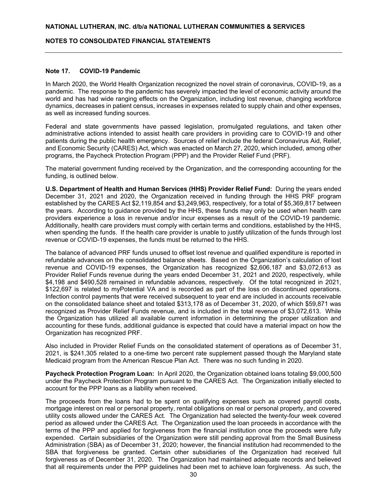#### **Note 17. COVID-19 Pandemic**

In March 2020, the World Health Organization recognized the novel strain of coronavirus, COVID-19, as a pandemic. The response to the pandemic has severely impacted the level of economic activity around the world and has had wide ranging effects on the Organization, including lost revenue, changing workforce dynamics, decreases in patient census, increases in expenses related to supply chain and other expenses, as well as increased funding sources.

Federal and state governments have passed legislation, promulgated regulations, and taken other administrative actions intended to assist health care providers in providing care to COVID-19 and other patients during the public health emergency. Sources of relief include the federal Coronavirus Aid, Relief, and Economic Security (CARES) Act, which was enacted on March 27, 2020, which included, among other programs, the Paycheck Protection Program (PPP) and the Provider Relief Fund (PRF).

The material government funding received by the Organization, and the corresponding accounting for the funding, is outlined below.

**U.S. Department of Health and Human Services (HHS) Provider Relief Fund:** During the years ended December 31, 2021 and 2020, the Organization received in funding through the HHS PRF program established by the CARES Act \$2,119,854 and \$3,249,963, respectively, for a total of \$5,369,817 between the years. According to guidance provided by the HHS, these funds may only be used when health care providers experience a loss in revenue and/or incur expenses as a result of the COVID-19 pandemic. Additionally, health care providers must comply with certain terms and conditions, established by the HHS, when spending the funds. If the health care provider is unable to justify utilization of the funds through lost revenue or COVID-19 expenses, the funds must be returned to the HHS.

The balance of advanced PRF funds unused to offset lost revenue and qualified expenditure is reported in refundable advances on the consolidated balance sheets. Based on the Organization's calculation of lost revenue and COVID-19 expenses, the Organization has recognized \$2,606,187 and \$3,072,613 as Provider Relief Funds revenue during the years ended December 31, 2021 and 2020, respectively, while \$4,198 and \$490,528 remained in refundable advances, respectively. Of the total recognized in 2021, \$122,697 is related to myPotential VA and is recorded as part of the loss on discontinued operations. Infection control payments that were received subsequent to year end are included in accounts receivable on the consolidated balance sheet and totaled \$313,178 as of December 31, 2020, of which \$59,871 was recognized as Provider Relief Funds revenue, and is included in the total revenue of \$3,072,613. While the Organization has utilized all available current information in determining the proper utilization and accounting for these funds, additional guidance is expected that could have a material impact on how the Organization has recognized PRF.

Also included in Provider Relief Funds on the consolidated statement of operations as of December 31, 2021, is \$241,305 related to a one-time two percent rate supplement passed though the Maryland state Medicaid program from the American Rescue Plan Act. There was no such funding in 2020.

**Paycheck Protection Program Loan:** In April 2020, the Organization obtained loans totaling \$9,000,500 under the Paycheck Protection Program pursuant to the CARES Act. The Organization initially elected to account for the PPP loans as a liability when received.

The proceeds from the loans had to be spent on qualifying expenses such as covered payroll costs, mortgage interest on real or personal property, rental obligations on real or personal property, and covered utility costs allowed under the CARES Act. The Organization had selected the twenty-four week covered period as allowed under the CARES Act. The Organization used the loan proceeds in accordance with the terms of the PPP and applied for forgiveness from the financial institution once the proceeds were fully expended. Certain subsidiaries of the Organization were still pending approval from the Small Business Administration (SBA) as of December 31, 2020; however, the financial institution had recommended to the SBA that forgiveness be granted. Certain other subsidiaries of the Organization had received full forgiveness as of December 31, 2020. The Organization had maintained adequate records and believed that all requirements under the PPP guidelines had been met to achieve loan forgiveness. As such, the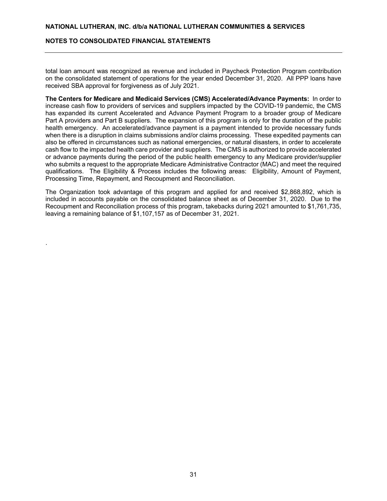#### **NOTES TO CONSOLIDATED FINANCIAL STATEMENTS**

.

total loan amount was recognized as revenue and included in Paycheck Protection Program contribution on the consolidated statement of operations for the year ended December 31, 2020. All PPP loans have received SBA approval for forgiveness as of July 2021.

**The Centers for Medicare and Medicaid Services (CMS) Accelerated/Advance Payments:** In order to increase cash flow to providers of services and suppliers impacted by the COVID-19 pandemic, the CMS has expanded its current Accelerated and Advance Payment Program to a broader group of Medicare Part A providers and Part B suppliers. The expansion of this program is only for the duration of the public health emergency. An accelerated/advance payment is a payment intended to provide necessary funds when there is a disruption in claims submissions and/or claims processing. These expedited payments can also be offered in circumstances such as national emergencies, or natural disasters, in order to accelerate cash flow to the impacted health care provider and suppliers. The CMS is authorized to provide accelerated or advance payments during the period of the public health emergency to any Medicare provider/supplier who submits a request to the appropriate Medicare Administrative Contractor (MAC) and meet the required qualifications. The Eligibility & Process includes the following areas: Eligibility, Amount of Payment, Processing Time, Repayment, and Recoupment and Reconciliation.

The Organization took advantage of this program and applied for and received \$2,868,892, which is included in accounts payable on the consolidated balance sheet as of December 31, 2020. Due to the Recoupment and Reconciliation process of this program, takebacks during 2021 amounted to \$1,761,735, leaving a remaining balance of \$1,107,157 as of December 31, 2021.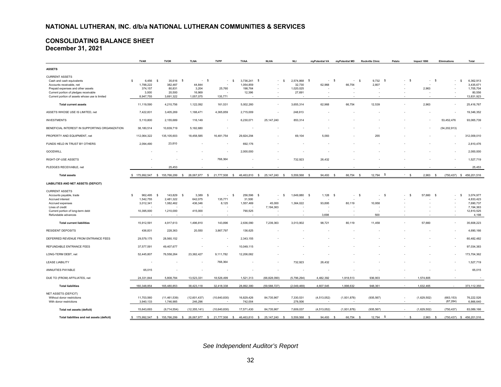# **CONSOLIDATING BALANCE SHEET**

**December 31, 2021** 

|                                                | <b>TVAR</b>                    | <b>TVOR</b>                 | <b>TLNA</b>                                | <b>TVPP</b>    | <b>TVAA</b>                               | <b>NLHA</b>                             | <b>NLI</b>   | myPotential VA          | myPotential MD          | <b>Rockville Clinic</b> | Petalo                        | Impact 1890              | Eliminations         | Total                       |
|------------------------------------------------|--------------------------------|-----------------------------|--------------------------------------------|----------------|-------------------------------------------|-----------------------------------------|--------------|-------------------------|-------------------------|-------------------------|-------------------------------|--------------------------|----------------------|-----------------------------|
| <b>ASSETS</b>                                  |                                |                             |                                            |                |                                           |                                         |              |                         |                         |                         |                               |                          |                      |                             |
| <b>CURRENT ASSETS</b>                          |                                |                             |                                            |                |                                           |                                         |              |                         |                         |                         |                               |                          |                      |                             |
| Cash and cash equivalents                      | 6,456<br>-S                    | 35,616<br>- \$              | - \$<br>$-5$                               | $\sim$         | 3,736,241 \$<br>$\mathbb{S}$              | - S                                     | 2,574,868    | s<br>$-5$               | - s                     | $9,732$ \$              | - S                           | <b>110</b>               | - \$                 | 6,362,913<br>- \$           |
| Accounts receivable, net                       | 1.788.222                      | 382.487                     | 44.844                                     |                | 1,054,859                                 |                                         | 32,730       | 62.968                  | 66,754                  | 2.807                   |                               |                          |                      | 3,435,671                   |
| Prepaid expenses and other assets              | 374,157                        | 80,831                      | 3,204                                      | 25,760         | 198,764                                   |                                         | 1,020,025    |                         |                         |                         |                               | 2,963                    |                      | 1,705,704                   |
| Current portion of pledges receivable          | 3.000                          | 20,500                      | 16,969                                     | $\sim$         | 12,396                                    |                                         | 27,691       |                         |                         |                         |                               |                          |                      | 80,556                      |
| Current portion of assets whose use is limited | 8,947,755                      | 3,691,322                   | 1,057,075                                  | 135,771        |                                           |                                         |              |                         |                         |                         |                               | $\overline{\phantom{a}}$ |                      | 13,831,923                  |
| <b>Total current assets</b>                    | 11,119,590                     | 4,210,756                   | 1,122,092                                  | 161,531        | 5,002,260                                 | ٠                                       | 3,655,314    | 62,968                  | 66,754                  | 12,539                  | $\sim$                        | 2,963                    |                      | 25,416,767                  |
| ASSETS WHOSE USE IS LIMITED, net               | 7,422,831                      | 3,405,269                   | 1,188,471                                  | 4,365,859      | 2,715,009                                 |                                         | 248,913      |                         |                         |                         |                               |                          |                      | 19,346,352                  |
| <b>INVESTMENTS</b>                             | 5,110,800                      | 2,155,689                   | 116,149                                    |                | 6,230,071                                 | 25, 147, 240                            | 853,314      |                         |                         |                         |                               |                          | 53,452,476           | 93,065,739                  |
| BENEFICIAL INTEREST IN SUPPORTING ORGANIZATION | 38,180,514                     | 10,839,719                  | 5,182,680                                  |                |                                           |                                         |              |                         |                         |                         |                               |                          | (54, 202, 913)       |                             |
| PROPERTY AND EQUIPMENT, net                    | 112,064,322                    | 135,105,603                 | 18,458,585                                 | 16,481,754     | 29,824,294                                |                                         | 69,104       | 5,093                   |                         | 255                     |                               |                          |                      | 312,009,010                 |
| FUNDS HELD IN TRUST BY OTHERS                  | 2,094,490                      | 23,810                      |                                            |                | 692,176                                   |                                         |              |                         |                         |                         |                               |                          |                      | 2,810,476                   |
| GOODWILL                                       |                                |                             |                                            |                | 2,000,000                                 |                                         |              |                         |                         |                         |                               |                          |                      | 2,000,000                   |
| RIGHT-OF-USE ASSETS                            |                                |                             |                                            | 768,364        |                                           |                                         | 732,923      | 26,432                  |                         |                         |                               |                          |                      | 1,527,719                   |
| PLEDGES RECEIVABLE, net                        |                                | 25.453                      |                                            |                |                                           |                                         |              |                         |                         |                         |                               |                          |                      | 25,453                      |
| <b>Total assets</b>                            | \$175.992.547 \$155.766.299 \$ |                             |                                            |                | 26,067,977 \$ 21,777,508 \$ 46,463,810 \$ | 25,147,240 \$                           | 5.559.568 \$ | 94.493 \$               | 66.754 S                | $12.794$ \$             | $\mathbf{s}$<br>$\sim$        | $2.963$ S                |                      | (750,437) \$ 456,201,516    |
| <b>LIABILITIES AND NET ASSETS (DEFICIT)</b>    |                                |                             |                                            |                |                                           |                                         |              |                         |                         |                         |                               |                          |                      |                             |
| <b>CURRENT ASSETS</b>                          |                                |                             |                                            |                |                                           |                                         |              |                         |                         |                         |                               |                          |                      |                             |
| Accounts payable, trade                        | 962,495<br>s                   | 143,829<br>- \$             | 3.389<br><b>S</b><br><b>S</b>              | ۰.             | 256,596<br>- S                            | - \$<br>-S<br>٠                         | 1,649,880    | 1,128<br>$\mathbf{s}$   | $\mathsf{s}$<br>$\sim$  | -S<br>$\sim$            | \$<br>-S                      | 57,660                   | \$                   | 3,074,977<br><b>S</b>       |
| Accrued interest                               | 1,542,755                      | 2,481,322                   | 642,075                                    | 135,771        | 31,500                                    |                                         |              |                         |                         |                         |                               |                          |                      | 4,833,423                   |
| Accrued expenses                               | 3,012,341                      | 1,082,462                   | 436,346                                    | 8,125          | 1,557,469                                 | 45,000                                  | 1,364,022    | 93,895                  | 80,119                  | 10,958                  |                               |                          |                      | 7,690,737                   |
| Lines of credit                                |                                |                             |                                            |                |                                           | 7,194,363                               |              |                         |                         |                         |                               |                          |                      | 7,194,363                   |
| Current portion of long-term debt              | 10,395,000                     | 1,210,000                   | 415,000                                    | $\sim$         | 790,525                                   |                                         |              | ٠.                      |                         |                         |                               |                          |                      | 12,810,525                  |
| Refundable advances                            |                                |                             |                                            |                |                                           |                                         |              | 3,698                   |                         | 500                     |                               |                          |                      | 4,198                       |
| <b>Total current liabilities</b>               | 15,912,591                     | 4,917,613                   | 1,496,810                                  | 143,896        | 2,636,090                                 | 7,239,363                               | 3,013,902    | 98,721                  | 80,119                  | 11,458                  | ٠                             | 57,660                   |                      | 35,608,223                  |
| <b>RESIDENT DEPOSITS</b>                       | 436,831                        | 228,363                     | 20,550                                     | 3,867,797      | 136,625                                   |                                         |              |                         |                         |                         |                               |                          |                      | 4,690,166                   |
| DEFERRED REVENUE FROM ENTRANCE FEES            | 29,579,175                     | 28,560,152                  |                                            |                | 2,343,155                                 |                                         |              |                         |                         |                         |                               |                          |                      | 60,482,482                  |
| REFUNDABLE ENTRANCE FEES                       | 37,577,591                     | 49,407,677                  |                                            |                | 10,049,115                                |                                         |              |                         |                         |                         |                               |                          |                      | 97,034,383                  |
| LONG-TERM DEBT, net                            | 52,445,807                     | 76,558,264                  | 23,382,427                                 | 9,111,782      | 12,206,082                                |                                         |              |                         |                         |                         |                               |                          |                      | 173,704,362                 |
| <b>LEASE LIABILITY</b>                         |                                |                             |                                            | 768,364        |                                           |                                         | 732,923      | 26,432                  |                         |                         |                               |                          |                      | 1,527,719                   |
| ANNUITIES PAYABLE                              | 65,015                         |                             |                                            |                |                                           |                                         |              |                         |                         |                         |                               |                          |                      | 65,015                      |
| DUE TO (FROM) AFFILIATES, net                  | 24,331,844                     | 5,808,784                   | 13,523,331                                 | 18,526,499     | 1,521,313                                 | (66, 828, 090)                          | (5,796,294)  | 4,482,392               | 1,918,513               | 936,903                 |                               | 1,574,805                |                      | $\sim$                      |
| <b>Total liabilities</b>                       | 160,348,854                    | 165,480,853                 | 38,423,118                                 | 32,418,338     | 28,892,380                                | (59, 588, 727)                          | (2,049,469)  | 4,607,545               | 1,998,632               | 948,361                 | $\sim$                        | 1,632,465                |                      | 373,112,350                 |
| NET ASSETS (DEFICIT)                           |                                |                             |                                            |                |                                           |                                         |              |                         |                         |                         |                               |                          |                      |                             |
| Without donor restrictions                     | 11,703,560                     | (11, 461, 539)              | (12,601,437)                               | (10,640,830)   | 16,829,426                                | 84,735,967                              | 7,330,531    | (4, 513, 052)           | (1,931,878)             | (935, 567)              |                               | (1,629,502)              | (663, 153)           | 76,222,526                  |
| With donor restrictions                        | 3,940,133                      | 1,746,985                   | 246,296                                    |                | 742,004                                   |                                         | 278,506      | . .                     |                         |                         |                               |                          | (87, 284)            | 6,866,640                   |
| Total net assets (deficit)                     | 15,643,693                     | (9,714,554)                 | (12, 355, 141)                             | (10, 640, 830) | 17,571,430                                | 84,735,967                              | 7,609,037    | (4, 513, 052)           | (1,931,878)             | (935, 567)              |                               | (1,629,502)              | (750, 437)           | 83,089,166                  |
| Total liabilities and net assets (deficit)     | \$175,992,547                  | 155,766,299<br>$\mathbf{S}$ | 26,067,977<br>$\mathsf{s}$<br>$\mathbf{s}$ | 21,777,508     | 46,463,810<br>$^{\circ}$                  | 25, 147, 240<br>$\sim$<br>$\mathcal{S}$ | 5.559.568    | 94.493<br>$\mathcal{S}$ | 66,754<br>$\mathcal{S}$ | 12.794<br>$\mathbf{s}$  | - S<br>$\sim$<br>$\mathbf{s}$ | 2.963                    | (750, 437)<br>$\sim$ | $\mathbf{s}$<br>456,201,516 |
|                                                |                                |                             |                                            |                |                                           |                                         |              |                         |                         |                         |                               |                          |                      |                             |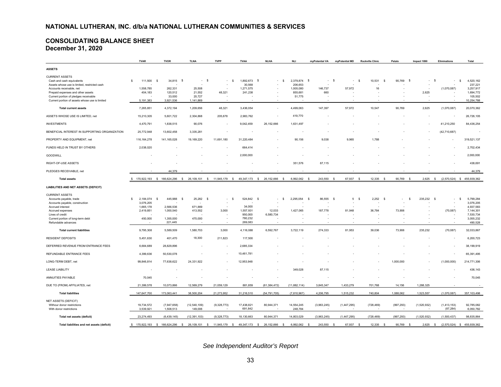# **CONSOLIDATING BALANCE SHEET**

**December 31, 2020** 

|                                                                                                                                                                                                                                                                | <b>TVAR</b>                                                      | <b>TVOR</b>                                                       | <b>TLNA</b>                                                                              | <b>TVPP</b>           | <b>TVAA</b>                                                                            | <b>NLHA</b>                         | <b>NLI</b>                                                | myPotential VA                    | myPotential MD                     | <b>Rockville Clinic</b> | Petalo               | Impact 1890              | Eliminations                                                         | Total                                                                                       |
|----------------------------------------------------------------------------------------------------------------------------------------------------------------------------------------------------------------------------------------------------------------|------------------------------------------------------------------|-------------------------------------------------------------------|------------------------------------------------------------------------------------------|-----------------------|----------------------------------------------------------------------------------------|-------------------------------------|-----------------------------------------------------------|-----------------------------------|------------------------------------|-------------------------|----------------------|--------------------------|----------------------------------------------------------------------|---------------------------------------------------------------------------------------------|
| <b>ASSETS</b>                                                                                                                                                                                                                                                  |                                                                  |                                                                   |                                                                                          |                       |                                                                                        |                                     |                                                           |                                   |                                    |                         |                      |                          |                                                                      |                                                                                             |
| <b>CURRENT ASSETS</b><br>Cash and cash equivalents<br>Assets whose use is limited, restricted cash<br>Accounts receivable, net<br>Prepaid expenses and other assets<br>Current portion of pledges receivable<br>Current portion of assets whose use is limited | s<br>111,500<br>1,558,785<br>404,183<br>5,191,383                | 34,815<br>- \$<br>262,331<br>120,512<br>33,000<br>3,921,536       | $^{\circ}$<br>- \$<br>25,508<br>21,552<br>20.727<br>1,141,869                            | ٠.<br>48,321          | 1,892,673<br>్<br>- S<br>30,568<br>1,271,575<br>241,238                                | s                                   | 2,379,874 \$<br>206,653<br>1,005,080<br>855,681<br>51,775 | $-5$<br>146,737<br>660            | $\mathbf{s}$<br>57,972             | 10,531<br>- S<br>16     | 90,769<br>- \$       | $\sim$<br>2,625          | - \$<br>(1,070,087)                                                  | 4,520,162<br>\$<br>237,221<br>3,257,917<br>1,694,772<br>105,502<br>10,254,788               |
| <b>Total current assets</b>                                                                                                                                                                                                                                    | 7,265,851                                                        | 4,372,194                                                         | 1,209,656                                                                                | 48,321                | 3,436,054                                                                              |                                     | 4,499,063                                                 | 147,397                           | 57,972                             | 10,547                  | 90,769               | 2,625                    | (1,070,087)                                                          | 20,070,362                                                                                  |
| ASSETS WHOSE USE IS LIMITED, net                                                                                                                                                                                                                               | 15,210,305                                                       | 5,601,722                                                         | 2,304,868                                                                                | 205,678               | 2,983,762                                                                              | ٠                                   | 419,770                                                   |                                   |                                    |                         |                      | $\overline{\phantom{a}}$ | $\overline{\phantom{a}}$                                             | 26,726,105                                                                                  |
| <b>INVESTMENTS</b>                                                                                                                                                                                                                                             | 4,470,791                                                        | 1,838,515                                                         | 90,076                                                                                   |                       | 9,042,459                                                                              | 26,152,666                          | 1,631,497                                                 |                                   |                                    |                         |                      |                          | 41,210,250                                                           | 84,436,254                                                                                  |
| BENEFICIAL INTEREST IN SUPPORTING ORGANIZATION                                                                                                                                                                                                                 | 25,772,948                                                       | 13,602,458                                                        | 3,335,281                                                                                |                       |                                                                                        |                                     |                                                           |                                   |                                    |                         |                      |                          | (42, 710, 687)                                                       |                                                                                             |
| PROPERTY AND EQUIPMENT, net                                                                                                                                                                                                                                    | 116, 164, 278                                                    | 141,165,028                                                       | 19,169,220                                                                               | 11,691,180            | 31,220,484                                                                             |                                     | 90,156                                                    | 9,038                             | 9,965                              | 1,788                   |                      |                          |                                                                      | 319,521,137                                                                                 |
| FUNDS HELD IN TRUST BY OTHERS                                                                                                                                                                                                                                  | 2,038,020                                                        |                                                                   |                                                                                          |                       | 664,414                                                                                |                                     |                                                           |                                   |                                    |                         |                      |                          |                                                                      | 2,702,434                                                                                   |
| <b>GOODWILL</b>                                                                                                                                                                                                                                                |                                                                  |                                                                   |                                                                                          |                       | 2,000,000                                                                              |                                     |                                                           |                                   |                                    |                         |                      |                          |                                                                      | 2,000,000                                                                                   |
| RIGHT-OF-USE ASSETS                                                                                                                                                                                                                                            |                                                                  |                                                                   |                                                                                          |                       |                                                                                        |                                     | 351,576                                                   | 87,115                            |                                    |                         |                      |                          |                                                                      | 438,691                                                                                     |
| PLEDGES RECEIVABLE, net                                                                                                                                                                                                                                        |                                                                  | 44.379                                                            |                                                                                          |                       |                                                                                        |                                     |                                                           |                                   |                                    |                         |                      |                          |                                                                      | 44,379                                                                                      |
| <b>Total assets</b>                                                                                                                                                                                                                                            |                                                                  |                                                                   | \$ 170,922,193 \$ 166,624,296 \$ 26,109,101 \$ 11,945,179 \$ 49,347,173 \$ 26,152,666 \$ |                       |                                                                                        |                                     | 6,992,062 \$                                              | 243,550 \$                        | 67,937 \$                          | $12,335$ \$             | 90,769 \$            | $2,625$ \$               |                                                                      | (2,570,524) \$ 455,939,362                                                                  |
| <b>LIABILITIES AND NET ASSETS (DEFICIT)</b>                                                                                                                                                                                                                    |                                                                  |                                                                   |                                                                                          |                       |                                                                                        |                                     |                                                           |                                   |                                    |                         |                      |                          |                                                                      |                                                                                             |
| <b>CURRENT ASSETS</b><br>Accounts payable, trade<br>Accounts payable, construction<br>Accrued interest<br>Accrued expenses<br>Lines of credit<br>Current portion of long-term debt<br>Refundable advances                                                      | 2,184,074<br>s<br>3,076,205<br>1,665,178<br>2,419,851<br>450,000 | 445,988<br>- \$<br>2,566,536<br>1,000,540<br>1,355,000<br>221,445 | 25,282<br>- S<br>- S<br>671,869<br>413,552<br>470,000                                    | $\sim$<br>٠.<br>3,000 | 524,842<br>$\mathbf{s}$<br>- S<br>34,000<br>1,557,931<br>950,000<br>780,232<br>269,083 | $\mathbf{s}$<br>12,033<br>6,580,734 | 2,295,054<br>1,427,065                                    | 86,555<br>$\mathbf{s}$<br>187,778 | -S<br>5<br>$\mathcal{S}$<br>81,948 | 2,252<br>- S<br>36,784  | S.<br>73,906         | 235,232                  | $\mathbb{S}$<br>$\sim$<br>(70,087)<br>$\overline{\phantom{a}}$<br>٠. | 5,799,284<br>-S<br>3,076,205<br>4,937,583<br>7,144,301<br>7,530,734<br>3,055,232<br>490,528 |
| <b>Total current liabilities</b>                                                                                                                                                                                                                               | 9,795,308                                                        | 5,589,509                                                         | 1,580,703                                                                                | 3,000                 | 4,116,088                                                                              | 6,592,767                           | 3,722,119                                                 | 274,333                           | 81,953                             | 39,036                  | 73,906               | 235,232                  | (70,087)                                                             | 32,033,867                                                                                  |
| <b>RESIDENT DEPOSITS</b>                                                                                                                                                                                                                                       | 5,451,630                                                        | 401,470                                                           | 18,300                                                                                   | 211,823               | 117,500                                                                                |                                     |                                                           |                                   |                                    |                         |                      |                          |                                                                      | 6,200,723                                                                                   |
| DEFERRED REVENUE FROM ENTRANCE FEES                                                                                                                                                                                                                            | 6,684,689                                                        | 28,829,896                                                        |                                                                                          |                       | 2,685,334                                                                              |                                     |                                                           |                                   |                                    |                         |                      |                          |                                                                      | 38,199,919                                                                                  |
| REFUNDABLE ENTRANCE FEES                                                                                                                                                                                                                                       | 4,399,636                                                        | 50,530,078                                                        |                                                                                          |                       | 10,461,781                                                                             |                                     |                                                           |                                   |                                    |                         |                      |                          |                                                                      | 65,391,495                                                                                  |
| LONG-TERM DEBT, net                                                                                                                                                                                                                                            | 99,846,814                                                       | 77,638,622                                                        | 24,331,922                                                                               |                       | 12,953,948                                                                             |                                     |                                                           |                                   |                                    |                         | 1,000,000            |                          | (1,000,000)                                                          | 214,771,306                                                                                 |
| <b>LEASE LIABILITY</b>                                                                                                                                                                                                                                         |                                                                  |                                                                   |                                                                                          |                       |                                                                                        |                                     | 349,028                                                   | 87,115                            |                                    |                         |                      |                          |                                                                      | 436,143                                                                                     |
| ANNUITIES PAYABLE                                                                                                                                                                                                                                              | 70,045                                                           |                                                                   |                                                                                          |                       |                                                                                        |                                     | ٠                                                         |                                   |                                    |                         |                      |                          |                                                                      | 70,045                                                                                      |
| DUE TO (FROM) AFFILIATES, net                                                                                                                                                                                                                                  | 21,399,578                                                       | 10,073,866                                                        | 12,569,279                                                                               | 21,059,129            | 881,859                                                                                | (61, 384, 472)                      | (11,882,114)                                              | 3,845,347                         | 1,433,279                          | 701,768                 | 14.156               | 1,288,325                |                                                                      | $\sim$                                                                                      |
| <b>Total liabilities</b>                                                                                                                                                                                                                                       | 147.647.700                                                      | 173,063,441                                                       | 38.500.204                                                                               | 21,273,952            | 31,216,510                                                                             | (54, 791, 705)                      | (7,810,967)                                               | 4,206,795                         | 1,515,232                          | 740.804                 | 1.088.062            | 1.523.557                | (1,070,087)                                                          | 357,103,498                                                                                 |
| NET ASSETS (DEFICIT)<br>Withour donor restrictions<br>With donor restrictions                                                                                                                                                                                  | 19,734,572<br>3,539,921                                          | (7,947,658)<br>1,508,513                                          | (12, 540, 109)<br>149,006                                                                | (9,328,773)           | 17,438,821<br>691,842                                                                  | 80,944,371                          | 14,554,245<br>248,784                                     | (3,963,245)                       | (1,447,295)                        | (728, 469)              | (997, 293)           | (1,520,932)              | (1, 413, 153)<br>(87, 284)                                           | 92,785,082<br>6,050,782                                                                     |
| Total net assets (deficit)                                                                                                                                                                                                                                     | 23,274,493                                                       | (6, 439, 145)                                                     | (12, 391, 103)                                                                           | (9,328,773)           | 18,130,663                                                                             | 80,944,371                          | 14,803,029                                                | (3,963,245)                       | (1,447,295)                        | (728, 469)              | (997, 293)           | (1,520,932)              | (1,500,437)                                                          | 98,835,864                                                                                  |
| Total liabilities and net assets (deficit)                                                                                                                                                                                                                     | \$170,922,193                                                    | \$166,624,296                                                     | <b>S</b><br>26,109,101 \$ 11,945,179 \$ 49,347,173                                       |                       |                                                                                        | 26,152,666<br>$\mathbb{S}$<br>-S    | 6,992,062                                                 | 243,550<br>- \$                   | 67,937<br>- S<br>-S                | 12,335                  | 90,769<br>-S<br>- \$ | 2,625                    | <b>S</b>                                                             | (2,570,524) \$ 455,939,362                                                                  |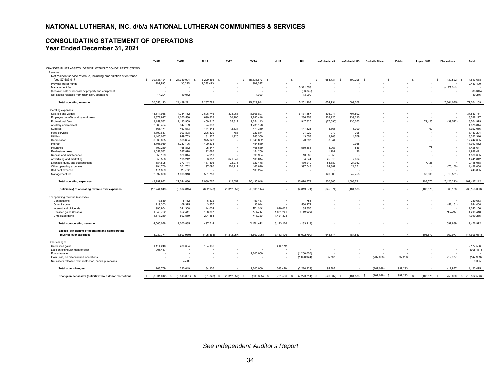#### **CONSOLIDATING STATEMENT OF OPERATIONS Year Ended December 31, 2021**

| CHANGES IN NET ASSETS (DEFICIT) WITHOUT DONOR RESTRICTIONS<br>Revenue:<br>Net resident service revenue, including amortization of entrance<br>fees \$7,583,917<br>6.229.366<br>15.833.877 \$<br>654.731<br>609.208<br>$- S$<br>(39, 522)<br>30,136,124<br>21.389.904<br>- \$<br>$-5$<br>$-5$<br>- S<br>- S<br><b>S</b><br>74,813,688<br>$\mathbf{s}$<br><b>S</b><br>- S<br>-S<br>- s<br>$\sim$<br><b>м.</b><br>402,795<br>30,245<br>1,058,423<br>992,027<br>2,483,490<br>Provider Relief Funds<br>$\mathbf{r}$<br>(5,321,553)<br>5.321.553<br>Management fee<br>(83, 345)<br>(83.345)<br>(Loss) on sale or disposal of property and equipment<br>19.072<br>14.204<br>4.000<br>13,000<br>50,276<br>Net assets released from restriction, operations<br>٠.<br>30.553.123<br>21.439.221<br>7.287.789<br>16.829.904<br>5.251.208<br>654.731<br>609.208<br>(5,361,075)<br>77.264.109<br><b>Total operating revenue</b><br>Operating expenses:<br>13.611.958<br>4.734.152<br>2.606.746<br>308.068<br>8.606.897<br>6.131.457<br>836.971<br>707.502<br>37.543.751<br>Salaries and wages<br>$\overline{\phantom{a}}$<br>1,050,580<br>60,196<br>139,210<br>8,598,127<br>Employee benefits and payroll taxes<br>3,372,917<br>699,828<br>1,780,418<br>1,286,753<br>208,225<br>٠<br>71,425<br>Professional fees<br>3,159,582<br>2,193,959<br>459,817<br>65,317<br>1,654,113<br>947,325<br>(77,090)<br>130,053<br>(39, 522)<br>8,564,979<br>4,878,844<br>Ancillary and medical<br>2,669,424<br>947.199<br>24.093<br>1,238,128<br>٠.<br>Supplies<br>665,171<br>467,513<br>144,544<br>12,334<br>471,369<br>147,521<br>8,365<br>5,309<br>(60)<br>1,922,066<br>903,898<br>296,420<br>788<br>727,874<br>979<br>798<br>3,143,294<br>Food services<br>1,190,617<br>21,920<br>۰.<br>Utilities<br>1,445,087<br>949,753<br>181,227<br>1,920<br>743,359<br>43,058<br>13,203<br>4,709<br>3,382,316<br>17,242,655<br>6,333,695<br>6,868,664<br>975,123<br>3,040,832<br>20,397<br>3.944<br>Depreciation<br>٠<br>1.499.833<br>11,917,552<br>4.706.019<br>5.247.196<br>454,539<br>9.965<br>Interest<br>٠<br>77<br>569,364<br>1,425,647<br>Insurance<br>190,249<br>165,812<br>25,847<br>468,689<br>5,063<br>546<br>٠.<br>1,052,532<br>597.878<br>122,686<br>154,250<br>1,928,421<br>Real estate taxes<br>1.101<br>(26)<br>٠<br>1,580,685<br>Repairs and maintenance<br>558,199<br>520,044<br>94,910<br>390,994<br>10,582<br>5,956<br>358,558<br>195,242<br>63,357<br>621,047<br>106,014<br>64,644<br>25,316<br>7,664<br>1,441,842<br>Advertising and marketing<br>٠<br>377.744<br>22,275<br>24.052<br>7,128<br>684,805<br>187,496<br>327,478<br>430,210<br>53,880<br>2,115,068<br>Licenses, dues, and subscriptions<br>٠<br>1,488,000<br>294.700<br>301.752<br>97,090<br>220.112<br>166.820<br>397.548<br>64.887<br>21.251<br>(76, 160)<br>Other operating expenses<br>28,732<br>103,274<br>243,865<br>Bad debt expense<br>111.859<br>501,750<br>42.758<br>Management fee<br>2.892.600<br>1.693.918<br>149.505<br>30,000<br>(5,310,531)<br>43.297.972<br>27,244,036<br>7,980,767<br>1,312,057<br>20,435,048<br>10,070,779<br>1,300,305<br>1,093,791<br>108,570<br>(5,426,213)<br>107,417,112<br><b>Total operating expenses</b><br>$\sim$ | <b>TVAR</b> | <b>TVOR</b> | <b>TLNA</b> | <b>TVPP</b> | <b>TVAA</b> | <b>NLHA</b> | <b>NLI</b> | myPotential VA | myPotential MD | <b>Rockville Clinic</b> | Petalo | Impact 1890 | Eliminations | Total |
|------------------------------------------------------------------------------------------------------------------------------------------------------------------------------------------------------------------------------------------------------------------------------------------------------------------------------------------------------------------------------------------------------------------------------------------------------------------------------------------------------------------------------------------------------------------------------------------------------------------------------------------------------------------------------------------------------------------------------------------------------------------------------------------------------------------------------------------------------------------------------------------------------------------------------------------------------------------------------------------------------------------------------------------------------------------------------------------------------------------------------------------------------------------------------------------------------------------------------------------------------------------------------------------------------------------------------------------------------------------------------------------------------------------------------------------------------------------------------------------------------------------------------------------------------------------------------------------------------------------------------------------------------------------------------------------------------------------------------------------------------------------------------------------------------------------------------------------------------------------------------------------------------------------------------------------------------------------------------------------------------------------------------------------------------------------------------------------------------------------------------------------------------------------------------------------------------------------------------------------------------------------------------------------------------------------------------------------------------------------------------------------------------------------------------------------------------------------------------------------------------------------------------------------------------------------------------------------------------------------------------------------------------------------------------------------------------------------------------------------------------------------------------------------------------------------------------------------------------------------------------------------------------------------------------------------------------------------------------------------------------------------------------------------------------------------------------------------------------------------------------------------------------------------------------------------------------------|-------------|-------------|-------------|-------------|-------------|-------------|------------|----------------|----------------|-------------------------|--------|-------------|--------------|-------|
|                                                                                                                                                                                                                                                                                                                                                                                                                                                                                                                                                                                                                                                                                                                                                                                                                                                                                                                                                                                                                                                                                                                                                                                                                                                                                                                                                                                                                                                                                                                                                                                                                                                                                                                                                                                                                                                                                                                                                                                                                                                                                                                                                                                                                                                                                                                                                                                                                                                                                                                                                                                                                                                                                                                                                                                                                                                                                                                                                                                                                                                                                                                                                                                                            |             |             |             |             |             |             |            |                |                |                         |        |             |              |       |
|                                                                                                                                                                                                                                                                                                                                                                                                                                                                                                                                                                                                                                                                                                                                                                                                                                                                                                                                                                                                                                                                                                                                                                                                                                                                                                                                                                                                                                                                                                                                                                                                                                                                                                                                                                                                                                                                                                                                                                                                                                                                                                                                                                                                                                                                                                                                                                                                                                                                                                                                                                                                                                                                                                                                                                                                                                                                                                                                                                                                                                                                                                                                                                                                            |             |             |             |             |             |             |            |                |                |                         |        |             |              |       |
|                                                                                                                                                                                                                                                                                                                                                                                                                                                                                                                                                                                                                                                                                                                                                                                                                                                                                                                                                                                                                                                                                                                                                                                                                                                                                                                                                                                                                                                                                                                                                                                                                                                                                                                                                                                                                                                                                                                                                                                                                                                                                                                                                                                                                                                                                                                                                                                                                                                                                                                                                                                                                                                                                                                                                                                                                                                                                                                                                                                                                                                                                                                                                                                                            |             |             |             |             |             |             |            |                |                |                         |        |             |              |       |
|                                                                                                                                                                                                                                                                                                                                                                                                                                                                                                                                                                                                                                                                                                                                                                                                                                                                                                                                                                                                                                                                                                                                                                                                                                                                                                                                                                                                                                                                                                                                                                                                                                                                                                                                                                                                                                                                                                                                                                                                                                                                                                                                                                                                                                                                                                                                                                                                                                                                                                                                                                                                                                                                                                                                                                                                                                                                                                                                                                                                                                                                                                                                                                                                            |             |             |             |             |             |             |            |                |                |                         |        |             |              |       |
|                                                                                                                                                                                                                                                                                                                                                                                                                                                                                                                                                                                                                                                                                                                                                                                                                                                                                                                                                                                                                                                                                                                                                                                                                                                                                                                                                                                                                                                                                                                                                                                                                                                                                                                                                                                                                                                                                                                                                                                                                                                                                                                                                                                                                                                                                                                                                                                                                                                                                                                                                                                                                                                                                                                                                                                                                                                                                                                                                                                                                                                                                                                                                                                                            |             |             |             |             |             |             |            |                |                |                         |        |             |              |       |
|                                                                                                                                                                                                                                                                                                                                                                                                                                                                                                                                                                                                                                                                                                                                                                                                                                                                                                                                                                                                                                                                                                                                                                                                                                                                                                                                                                                                                                                                                                                                                                                                                                                                                                                                                                                                                                                                                                                                                                                                                                                                                                                                                                                                                                                                                                                                                                                                                                                                                                                                                                                                                                                                                                                                                                                                                                                                                                                                                                                                                                                                                                                                                                                                            |             |             |             |             |             |             |            |                |                |                         |        |             |              |       |
|                                                                                                                                                                                                                                                                                                                                                                                                                                                                                                                                                                                                                                                                                                                                                                                                                                                                                                                                                                                                                                                                                                                                                                                                                                                                                                                                                                                                                                                                                                                                                                                                                                                                                                                                                                                                                                                                                                                                                                                                                                                                                                                                                                                                                                                                                                                                                                                                                                                                                                                                                                                                                                                                                                                                                                                                                                                                                                                                                                                                                                                                                                                                                                                                            |             |             |             |             |             |             |            |                |                |                         |        |             |              |       |
|                                                                                                                                                                                                                                                                                                                                                                                                                                                                                                                                                                                                                                                                                                                                                                                                                                                                                                                                                                                                                                                                                                                                                                                                                                                                                                                                                                                                                                                                                                                                                                                                                                                                                                                                                                                                                                                                                                                                                                                                                                                                                                                                                                                                                                                                                                                                                                                                                                                                                                                                                                                                                                                                                                                                                                                                                                                                                                                                                                                                                                                                                                                                                                                                            |             |             |             |             |             |             |            |                |                |                         |        |             |              |       |
|                                                                                                                                                                                                                                                                                                                                                                                                                                                                                                                                                                                                                                                                                                                                                                                                                                                                                                                                                                                                                                                                                                                                                                                                                                                                                                                                                                                                                                                                                                                                                                                                                                                                                                                                                                                                                                                                                                                                                                                                                                                                                                                                                                                                                                                                                                                                                                                                                                                                                                                                                                                                                                                                                                                                                                                                                                                                                                                                                                                                                                                                                                                                                                                                            |             |             |             |             |             |             |            |                |                |                         |        |             |              |       |
|                                                                                                                                                                                                                                                                                                                                                                                                                                                                                                                                                                                                                                                                                                                                                                                                                                                                                                                                                                                                                                                                                                                                                                                                                                                                                                                                                                                                                                                                                                                                                                                                                                                                                                                                                                                                                                                                                                                                                                                                                                                                                                                                                                                                                                                                                                                                                                                                                                                                                                                                                                                                                                                                                                                                                                                                                                                                                                                                                                                                                                                                                                                                                                                                            |             |             |             |             |             |             |            |                |                |                         |        |             |              |       |
|                                                                                                                                                                                                                                                                                                                                                                                                                                                                                                                                                                                                                                                                                                                                                                                                                                                                                                                                                                                                                                                                                                                                                                                                                                                                                                                                                                                                                                                                                                                                                                                                                                                                                                                                                                                                                                                                                                                                                                                                                                                                                                                                                                                                                                                                                                                                                                                                                                                                                                                                                                                                                                                                                                                                                                                                                                                                                                                                                                                                                                                                                                                                                                                                            |             |             |             |             |             |             |            |                |                |                         |        |             |              |       |
|                                                                                                                                                                                                                                                                                                                                                                                                                                                                                                                                                                                                                                                                                                                                                                                                                                                                                                                                                                                                                                                                                                                                                                                                                                                                                                                                                                                                                                                                                                                                                                                                                                                                                                                                                                                                                                                                                                                                                                                                                                                                                                                                                                                                                                                                                                                                                                                                                                                                                                                                                                                                                                                                                                                                                                                                                                                                                                                                                                                                                                                                                                                                                                                                            |             |             |             |             |             |             |            |                |                |                         |        |             |              |       |
|                                                                                                                                                                                                                                                                                                                                                                                                                                                                                                                                                                                                                                                                                                                                                                                                                                                                                                                                                                                                                                                                                                                                                                                                                                                                                                                                                                                                                                                                                                                                                                                                                                                                                                                                                                                                                                                                                                                                                                                                                                                                                                                                                                                                                                                                                                                                                                                                                                                                                                                                                                                                                                                                                                                                                                                                                                                                                                                                                                                                                                                                                                                                                                                                            |             |             |             |             |             |             |            |                |                |                         |        |             |              |       |
|                                                                                                                                                                                                                                                                                                                                                                                                                                                                                                                                                                                                                                                                                                                                                                                                                                                                                                                                                                                                                                                                                                                                                                                                                                                                                                                                                                                                                                                                                                                                                                                                                                                                                                                                                                                                                                                                                                                                                                                                                                                                                                                                                                                                                                                                                                                                                                                                                                                                                                                                                                                                                                                                                                                                                                                                                                                                                                                                                                                                                                                                                                                                                                                                            |             |             |             |             |             |             |            |                |                |                         |        |             |              |       |
|                                                                                                                                                                                                                                                                                                                                                                                                                                                                                                                                                                                                                                                                                                                                                                                                                                                                                                                                                                                                                                                                                                                                                                                                                                                                                                                                                                                                                                                                                                                                                                                                                                                                                                                                                                                                                                                                                                                                                                                                                                                                                                                                                                                                                                                                                                                                                                                                                                                                                                                                                                                                                                                                                                                                                                                                                                                                                                                                                                                                                                                                                                                                                                                                            |             |             |             |             |             |             |            |                |                |                         |        |             |              |       |
|                                                                                                                                                                                                                                                                                                                                                                                                                                                                                                                                                                                                                                                                                                                                                                                                                                                                                                                                                                                                                                                                                                                                                                                                                                                                                                                                                                                                                                                                                                                                                                                                                                                                                                                                                                                                                                                                                                                                                                                                                                                                                                                                                                                                                                                                                                                                                                                                                                                                                                                                                                                                                                                                                                                                                                                                                                                                                                                                                                                                                                                                                                                                                                                                            |             |             |             |             |             |             |            |                |                |                         |        |             |              |       |
|                                                                                                                                                                                                                                                                                                                                                                                                                                                                                                                                                                                                                                                                                                                                                                                                                                                                                                                                                                                                                                                                                                                                                                                                                                                                                                                                                                                                                                                                                                                                                                                                                                                                                                                                                                                                                                                                                                                                                                                                                                                                                                                                                                                                                                                                                                                                                                                                                                                                                                                                                                                                                                                                                                                                                                                                                                                                                                                                                                                                                                                                                                                                                                                                            |             |             |             |             |             |             |            |                |                |                         |        |             |              |       |
|                                                                                                                                                                                                                                                                                                                                                                                                                                                                                                                                                                                                                                                                                                                                                                                                                                                                                                                                                                                                                                                                                                                                                                                                                                                                                                                                                                                                                                                                                                                                                                                                                                                                                                                                                                                                                                                                                                                                                                                                                                                                                                                                                                                                                                                                                                                                                                                                                                                                                                                                                                                                                                                                                                                                                                                                                                                                                                                                                                                                                                                                                                                                                                                                            |             |             |             |             |             |             |            |                |                |                         |        |             |              |       |
|                                                                                                                                                                                                                                                                                                                                                                                                                                                                                                                                                                                                                                                                                                                                                                                                                                                                                                                                                                                                                                                                                                                                                                                                                                                                                                                                                                                                                                                                                                                                                                                                                                                                                                                                                                                                                                                                                                                                                                                                                                                                                                                                                                                                                                                                                                                                                                                                                                                                                                                                                                                                                                                                                                                                                                                                                                                                                                                                                                                                                                                                                                                                                                                                            |             |             |             |             |             |             |            |                |                |                         |        |             |              |       |
|                                                                                                                                                                                                                                                                                                                                                                                                                                                                                                                                                                                                                                                                                                                                                                                                                                                                                                                                                                                                                                                                                                                                                                                                                                                                                                                                                                                                                                                                                                                                                                                                                                                                                                                                                                                                                                                                                                                                                                                                                                                                                                                                                                                                                                                                                                                                                                                                                                                                                                                                                                                                                                                                                                                                                                                                                                                                                                                                                                                                                                                                                                                                                                                                            |             |             |             |             |             |             |            |                |                |                         |        |             |              |       |
|                                                                                                                                                                                                                                                                                                                                                                                                                                                                                                                                                                                                                                                                                                                                                                                                                                                                                                                                                                                                                                                                                                                                                                                                                                                                                                                                                                                                                                                                                                                                                                                                                                                                                                                                                                                                                                                                                                                                                                                                                                                                                                                                                                                                                                                                                                                                                                                                                                                                                                                                                                                                                                                                                                                                                                                                                                                                                                                                                                                                                                                                                                                                                                                                            |             |             |             |             |             |             |            |                |                |                         |        |             |              |       |
|                                                                                                                                                                                                                                                                                                                                                                                                                                                                                                                                                                                                                                                                                                                                                                                                                                                                                                                                                                                                                                                                                                                                                                                                                                                                                                                                                                                                                                                                                                                                                                                                                                                                                                                                                                                                                                                                                                                                                                                                                                                                                                                                                                                                                                                                                                                                                                                                                                                                                                                                                                                                                                                                                                                                                                                                                                                                                                                                                                                                                                                                                                                                                                                                            |             |             |             |             |             |             |            |                |                |                         |        |             |              |       |
|                                                                                                                                                                                                                                                                                                                                                                                                                                                                                                                                                                                                                                                                                                                                                                                                                                                                                                                                                                                                                                                                                                                                                                                                                                                                                                                                                                                                                                                                                                                                                                                                                                                                                                                                                                                                                                                                                                                                                                                                                                                                                                                                                                                                                                                                                                                                                                                                                                                                                                                                                                                                                                                                                                                                                                                                                                                                                                                                                                                                                                                                                                                                                                                                            |             |             |             |             |             |             |            |                |                |                         |        |             |              |       |
|                                                                                                                                                                                                                                                                                                                                                                                                                                                                                                                                                                                                                                                                                                                                                                                                                                                                                                                                                                                                                                                                                                                                                                                                                                                                                                                                                                                                                                                                                                                                                                                                                                                                                                                                                                                                                                                                                                                                                                                                                                                                                                                                                                                                                                                                                                                                                                                                                                                                                                                                                                                                                                                                                                                                                                                                                                                                                                                                                                                                                                                                                                                                                                                                            |             |             |             |             |             |             |            |                |                |                         |        |             |              |       |
|                                                                                                                                                                                                                                                                                                                                                                                                                                                                                                                                                                                                                                                                                                                                                                                                                                                                                                                                                                                                                                                                                                                                                                                                                                                                                                                                                                                                                                                                                                                                                                                                                                                                                                                                                                                                                                                                                                                                                                                                                                                                                                                                                                                                                                                                                                                                                                                                                                                                                                                                                                                                                                                                                                                                                                                                                                                                                                                                                                                                                                                                                                                                                                                                            |             |             |             |             |             |             |            |                |                |                         |        |             |              |       |
|                                                                                                                                                                                                                                                                                                                                                                                                                                                                                                                                                                                                                                                                                                                                                                                                                                                                                                                                                                                                                                                                                                                                                                                                                                                                                                                                                                                                                                                                                                                                                                                                                                                                                                                                                                                                                                                                                                                                                                                                                                                                                                                                                                                                                                                                                                                                                                                                                                                                                                                                                                                                                                                                                                                                                                                                                                                                                                                                                                                                                                                                                                                                                                                                            |             |             |             |             |             |             |            |                |                |                         |        |             |              |       |
|                                                                                                                                                                                                                                                                                                                                                                                                                                                                                                                                                                                                                                                                                                                                                                                                                                                                                                                                                                                                                                                                                                                                                                                                                                                                                                                                                                                                                                                                                                                                                                                                                                                                                                                                                                                                                                                                                                                                                                                                                                                                                                                                                                                                                                                                                                                                                                                                                                                                                                                                                                                                                                                                                                                                                                                                                                                                                                                                                                                                                                                                                                                                                                                                            |             |             |             |             |             |             |            |                |                |                         |        |             |              |       |
|                                                                                                                                                                                                                                                                                                                                                                                                                                                                                                                                                                                                                                                                                                                                                                                                                                                                                                                                                                                                                                                                                                                                                                                                                                                                                                                                                                                                                                                                                                                                                                                                                                                                                                                                                                                                                                                                                                                                                                                                                                                                                                                                                                                                                                                                                                                                                                                                                                                                                                                                                                                                                                                                                                                                                                                                                                                                                                                                                                                                                                                                                                                                                                                                            |             |             |             |             |             |             |            |                |                |                         |        |             |              |       |
|                                                                                                                                                                                                                                                                                                                                                                                                                                                                                                                                                                                                                                                                                                                                                                                                                                                                                                                                                                                                                                                                                                                                                                                                                                                                                                                                                                                                                                                                                                                                                                                                                                                                                                                                                                                                                                                                                                                                                                                                                                                                                                                                                                                                                                                                                                                                                                                                                                                                                                                                                                                                                                                                                                                                                                                                                                                                                                                                                                                                                                                                                                                                                                                                            |             |             |             |             |             |             |            |                |                |                         |        |             |              |       |
| (12, 744, 849)<br>(5,804,815)<br>(692, 978)<br>(1,312,057)<br>(3,605,144)<br>(4,819,571)<br>(645, 574)<br>(484, 583)<br>(108, 570)<br>(30, 153, 003)<br>(Deficiency) of operating revenue over expenses<br>$\sim$                                                                                                                                                                                                                                                                                                                                                                                                                                                                                                                                                                                                                                                                                                                                                                                                                                                                                                                                                                                                                                                                                                                                                                                                                                                                                                                                                                                                                                                                                                                                                                                                                                                                                                                                                                                                                                                                                                                                                                                                                                                                                                                                                                                                                                                                                                                                                                                                                                                                                                                                                                                                                                                                                                                                                                                                                                                                                                                                                                                          |             |             |             |             |             |             |            |                |                |                         |        |             | 65,138       |       |
| Nonoperating revenue (expense):                                                                                                                                                                                                                                                                                                                                                                                                                                                                                                                                                                                                                                                                                                                                                                                                                                                                                                                                                                                                                                                                                                                                                                                                                                                                                                                                                                                                                                                                                                                                                                                                                                                                                                                                                                                                                                                                                                                                                                                                                                                                                                                                                                                                                                                                                                                                                                                                                                                                                                                                                                                                                                                                                                                                                                                                                                                                                                                                                                                                                                                                                                                                                                            |             |             |             |             |             |             |            |                |                |                         |        |             |              |       |
| 73,819<br>5,162<br>6,432<br>153,487<br>753<br>239,653<br>Contributions<br>٠                                                                                                                                                                                                                                                                                                                                                                                                                                                                                                                                                                                                                                                                                                                                                                                                                                                                                                                                                                                                                                                                                                                                                                                                                                                                                                                                                                                                                                                                                                                                                                                                                                                                                                                                                                                                                                                                                                                                                                                                                                                                                                                                                                                                                                                                                                                                                                                                                                                                                                                                                                                                                                                                                                                                                                                                                                                                                                                                                                                                                                                                                                                                |             |             |             |             |             |             |            |                |                |                         |        |             |              |       |
| 219,303<br>109,375<br>3,857<br>33,914<br>530,172<br>(52, 161)<br>844,460<br>Other income<br>٠<br>$\blacksquare$                                                                                                                                                                                                                                                                                                                                                                                                                                                                                                                                                                                                                                                                                                                                                                                                                                                                                                                                                                                                                                                                                                                                                                                                                                                                                                                                                                                                                                                                                                                                                                                                                                                                                                                                                                                                                                                                                                                                                                                                                                                                                                                                                                                                                                                                                                                                                                                                                                                                                                                                                                                                                                                                                                                                                                                                                                                                                                                                                                                                                                                                                            |             |             |             |             |             |             |            |                |                |                         |        |             |              |       |
| 341,368<br>120,882<br>640,062<br>35,856<br>2,243,156<br>Interest and dividends<br>990,954<br>114,034<br>$\sim$<br>$\sim$                                                                                                                                                                                                                                                                                                                                                                                                                                                                                                                                                                                                                                                                                                                                                                                                                                                                                                                                                                                                                                                                                                                                                                                                                                                                                                                                                                                                                                                                                                                                                                                                                                                                                                                                                                                                                                                                                                                                                                                                                                                                                                                                                                                                                                                                                                                                                                                                                                                                                                                                                                                                                                                                                                                                                                                                                                                                                                                                                                                                                                                                                   |             |             |             |             |             |             |            |                |                |                         |        |             |              |       |
| 773,737<br>750,000<br>1,543,722<br>652,411<br>168,307<br>1,081,241<br>(750,000)<br>4,219,418<br>Realized gains (losses)<br>٠                                                                                                                                                                                                                                                                                                                                                                                                                                                                                                                                                                                                                                                                                                                                                                                                                                                                                                                                                                                                                                                                                                                                                                                                                                                                                                                                                                                                                                                                                                                                                                                                                                                                                                                                                                                                                                                                                                                                                                                                                                                                                                                                                                                                                                                                                                                                                                                                                                                                                                                                                                                                                                                                                                                                                                                                                                                                                                                                                                                                                                                                               |             |             |             |             |             |             |            |                |                |                         |        |             |              |       |
| 713,729<br>Unrealized gains<br>1.677.280<br>892.569<br>204.884<br>1.421.823<br>4,910,285<br>$\overline{\phantom{a}}$<br>$\sim$                                                                                                                                                                                                                                                                                                                                                                                                                                                                                                                                                                                                                                                                                                                                                                                                                                                                                                                                                                                                                                                                                                                                                                                                                                                                                                                                                                                                                                                                                                                                                                                                                                                                                                                                                                                                                                                                                                                                                                                                                                                                                                                                                                                                                                                                                                                                                                                                                                                                                                                                                                                                                                                                                                                                                                                                                                                                                                                                                                                                                                                                             |             |             |             |             |             |             |            |                |                |                         |        |             |              |       |
| 1,795,749<br>(183.219)<br><b>Total nonoperating revenue</b><br>4.505.078<br>2.000.885<br>497.514<br>3.143.126<br>697.839<br>12.456.972                                                                                                                                                                                                                                                                                                                                                                                                                                                                                                                                                                                                                                                                                                                                                                                                                                                                                                                                                                                                                                                                                                                                                                                                                                                                                                                                                                                                                                                                                                                                                                                                                                                                                                                                                                                                                                                                                                                                                                                                                                                                                                                                                                                                                                                                                                                                                                                                                                                                                                                                                                                                                                                                                                                                                                                                                                                                                                                                                                                                                                                                     |             |             |             |             |             |             |            |                |                |                         |        |             |              |       |
| Excess (deficiency) of operating and nonoperating                                                                                                                                                                                                                                                                                                                                                                                                                                                                                                                                                                                                                                                                                                                                                                                                                                                                                                                                                                                                                                                                                                                                                                                                                                                                                                                                                                                                                                                                                                                                                                                                                                                                                                                                                                                                                                                                                                                                                                                                                                                                                                                                                                                                                                                                                                                                                                                                                                                                                                                                                                                                                                                                                                                                                                                                                                                                                                                                                                                                                                                                                                                                                          |             |             |             |             |             |             |            |                |                |                         |        |             |              |       |
| (8.239.771)<br>(3,803,930)<br>(195, 464)<br>(1,312,057)<br>(1.809.395)<br>3,143,126<br>(5,002,790)<br>(645, 574)<br>(484, 583)<br>(108, 570)<br>762,977<br>(17,696,031)<br>revenue over expenses                                                                                                                                                                                                                                                                                                                                                                                                                                                                                                                                                                                                                                                                                                                                                                                                                                                                                                                                                                                                                                                                                                                                                                                                                                                                                                                                                                                                                                                                                                                                                                                                                                                                                                                                                                                                                                                                                                                                                                                                                                                                                                                                                                                                                                                                                                                                                                                                                                                                                                                                                                                                                                                                                                                                                                                                                                                                                                                                                                                                           |             |             |             |             |             |             |            |                |                |                         |        |             |              |       |
|                                                                                                                                                                                                                                                                                                                                                                                                                                                                                                                                                                                                                                                                                                                                                                                                                                                                                                                                                                                                                                                                                                                                                                                                                                                                                                                                                                                                                                                                                                                                                                                                                                                                                                                                                                                                                                                                                                                                                                                                                                                                                                                                                                                                                                                                                                                                                                                                                                                                                                                                                                                                                                                                                                                                                                                                                                                                                                                                                                                                                                                                                                                                                                                                            |             |             |             |             |             |             |            |                |                |                         |        |             |              |       |
| Other changes:                                                                                                                                                                                                                                                                                                                                                                                                                                                                                                                                                                                                                                                                                                                                                                                                                                                                                                                                                                                                                                                                                                                                                                                                                                                                                                                                                                                                                                                                                                                                                                                                                                                                                                                                                                                                                                                                                                                                                                                                                                                                                                                                                                                                                                                                                                                                                                                                                                                                                                                                                                                                                                                                                                                                                                                                                                                                                                                                                                                                                                                                                                                                                                                             |             |             |             |             |             |             |            |                |                |                         |        |             |              |       |
| 648,470<br>280,684<br>134,136<br>2,177,536<br>1,114,246<br>Unrealized gains                                                                                                                                                                                                                                                                                                                                                                                                                                                                                                                                                                                                                                                                                                                                                                                                                                                                                                                                                                                                                                                                                                                                                                                                                                                                                                                                                                                                                                                                                                                                                                                                                                                                                                                                                                                                                                                                                                                                                                                                                                                                                                                                                                                                                                                                                                                                                                                                                                                                                                                                                                                                                                                                                                                                                                                                                                                                                                                                                                                                                                                                                                                                |             |             |             |             |             |             |            |                |                |                         |        |             |              |       |
| (905, 487)<br>(905.487)<br>Loss on extinguishment of debt<br>٠                                                                                                                                                                                                                                                                                                                                                                                                                                                                                                                                                                                                                                                                                                                                                                                                                                                                                                                                                                                                                                                                                                                                                                                                                                                                                                                                                                                                                                                                                                                                                                                                                                                                                                                                                                                                                                                                                                                                                                                                                                                                                                                                                                                                                                                                                                                                                                                                                                                                                                                                                                                                                                                                                                                                                                                                                                                                                                                                                                                                                                                                                                                                             |             |             |             |             |             |             |            |                |                |                         |        |             |              |       |
| (1,200,000)<br>1,200,000<br>Equity transfer<br>٠                                                                                                                                                                                                                                                                                                                                                                                                                                                                                                                                                                                                                                                                                                                                                                                                                                                                                                                                                                                                                                                                                                                                                                                                                                                                                                                                                                                                                                                                                                                                                                                                                                                                                                                                                                                                                                                                                                                                                                                                                                                                                                                                                                                                                                                                                                                                                                                                                                                                                                                                                                                                                                                                                                                                                                                                                                                                                                                                                                                                                                                                                                                                                           |             |             |             |             |             |             |            |                |                |                         |        |             |              |       |
| (1,020,924)<br>(207, 098)<br>997,293<br>(12, 977)<br>(147, 939)<br>95,767<br>Gain (loss) on discontinued operations                                                                                                                                                                                                                                                                                                                                                                                                                                                                                                                                                                                                                                                                                                                                                                                                                                                                                                                                                                                                                                                                                                                                                                                                                                                                                                                                                                                                                                                                                                                                                                                                                                                                                                                                                                                                                                                                                                                                                                                                                                                                                                                                                                                                                                                                                                                                                                                                                                                                                                                                                                                                                                                                                                                                                                                                                                                                                                                                                                                                                                                                                        |             |             |             |             |             |             |            |                |                |                         |        |             |              |       |
| 9,365<br>9,365<br>Net assets released from restriction, capital purchases                                                                                                                                                                                                                                                                                                                                                                                                                                                                                                                                                                                                                                                                                                                                                                                                                                                                                                                                                                                                                                                                                                                                                                                                                                                                                                                                                                                                                                                                                                                                                                                                                                                                                                                                                                                                                                                                                                                                                                                                                                                                                                                                                                                                                                                                                                                                                                                                                                                                                                                                                                                                                                                                                                                                                                                                                                                                                                                                                                                                                                                                                                                                  |             |             |             |             |             |             |            |                |                |                         |        |             |              |       |
| 208,759<br>290.049<br>134,136<br>1.200.000<br>648,470<br>(2, 220, 924)<br>95.767<br>(207,098)<br>997,293<br>(12, 977)<br>1.133.475<br><b>Total other changes</b>                                                                                                                                                                                                                                                                                                                                                                                                                                                                                                                                                                                                                                                                                                                                                                                                                                                                                                                                                                                                                                                                                                                                                                                                                                                                                                                                                                                                                                                                                                                                                                                                                                                                                                                                                                                                                                                                                                                                                                                                                                                                                                                                                                                                                                                                                                                                                                                                                                                                                                                                                                                                                                                                                                                                                                                                                                                                                                                                                                                                                                           |             |             |             |             |             |             |            |                |                |                         |        |             |              |       |
| $(207,098)$ \$<br>997,293<br>(8.031.012) \$ (3.513.881) \$<br>$(61.328)$ \$<br>$(1.312.057)$ \$<br>$(609.395)$ \$<br>3.791.596 \$<br>$(7,223,714)$ \$<br>$(549.807)$ \$<br>$(484.583)$ \$<br>$(108.570)$ \$<br>(16.562.556)<br><b>S</b><br>750,000 \$<br>Change in net assets (deficit) without donor restrictions<br>$\mathbf{s}$                                                                                                                                                                                                                                                                                                                                                                                                                                                                                                                                                                                                                                                                                                                                                                                                                                                                                                                                                                                                                                                                                                                                                                                                                                                                                                                                                                                                                                                                                                                                                                                                                                                                                                                                                                                                                                                                                                                                                                                                                                                                                                                                                                                                                                                                                                                                                                                                                                                                                                                                                                                                                                                                                                                                                                                                                                                                         |             |             |             |             |             |             |            |                |                |                         |        |             |              |       |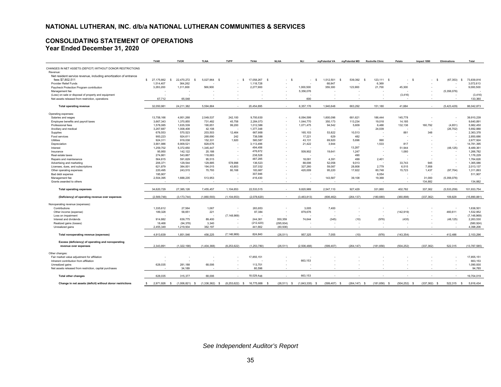#### **CONSOLIDATING STATEMENT OF OPERATIONS Year Ended December 31, 2020**

|                                                                  | <b>TVAR</b>              | <b>TVOR</b>                                                             | <b>TLNA</b>               | <b>TVPP</b>   | <b>TVAA</b>                | <b>NLHA</b>              | <b>NLI</b>       | myPotential VA       | myPotential MD  | <b>Rockville Clinic</b> | Petalo                   | Impact 1890              | Eliminations             | Total                  |
|------------------------------------------------------------------|--------------------------|-------------------------------------------------------------------------|---------------------------|---------------|----------------------------|--------------------------|------------------|----------------------|-----------------|-------------------------|--------------------------|--------------------------|--------------------------|------------------------|
| CHANGES IN NET ASSETS (DEFICIT) WITHOUT DONOR RESTRICTIONS       |                          |                                                                         |                           |               |                            |                          |                  |                      |                 |                         |                          |                          |                          |                        |
| Revenue:                                                         |                          |                                                                         |                           |               |                            |                          |                  |                      |                 |                         |                          |                          |                          |                        |
| Net resident service revenue, including amortization of entrance |                          |                                                                         |                           |               |                            |                          |                  |                      |                 |                         |                          |                          |                          |                        |
| fees \$7,802,511                                                 | 27,175,662<br>\$<br>- S  | 22,470,272<br>$\hat{\mathbf{S}}$                                        | $\mathbf{s}$<br>5,027,964 | - S           | 17.058.267<br><sub>S</sub> | $\mathbf{s}$<br>۰.       | ۰.               | 1,512,501<br>s<br>-5 | 539,392<br>- \$ | 123,111                 | - S<br>-S<br>$\sim$      | - S                      | (67, 353)                | 73,839,816<br>-S       |
| Provider Relief Funds                                            | 1,514,407                | 364,262                                                                 |                           |               | 1,118,728                  |                          |                  | 68.847               |                 | 6.369                   |                          |                          |                          | 3,072,613              |
| Paycheck Protection Program contribution                         | 3,293,200                | 1,311,800                                                               | 566,900                   |               | 2,277,900                  |                          | 1,000,500        | 359,300              | 123,900         | 21,700                  | 45,300                   |                          | $\overline{\phantom{a}}$ | 9,000,500              |
| Management fee                                                   | ٠.                       |                                                                         |                           |               |                            |                          | 5,356,076        |                      |                 |                         |                          |                          | (5,356,076)              |                        |
| (Loss) on sale or disposal of property and equipment             |                          |                                                                         |                           |               |                            |                          |                  |                      |                 |                         | (3, 416)                 |                          |                          | (3, 416)               |
| Net assets released from restriction, operations                 | 67.712                   | 65.048                                                                  |                           |               |                            |                          | 600              |                      |                 |                         |                          |                          | ٠                        | 133.360                |
| <b>Total operating revenue</b>                                   | 32.050.981               | 24.211.382                                                              | 5.594.864                 |               | 20.454.895                 | $\overline{\phantom{a}}$ | 6.357.176        | 1.940.648            | 663.292         | 151.180                 | 41.884                   | $\sim$                   | (5.423.429)              | 86.042.873             |
|                                                                  |                          |                                                                         |                           |               |                            |                          |                  |                      |                 |                         |                          |                          |                          |                        |
| Operating expenses:                                              |                          |                                                                         |                           |               |                            |                          |                  |                      |                 |                         |                          |                          |                          |                        |
| Salaries and wages                                               | 13,758,166               | 4,951,268                                                               | 2,549,537                 | 242,100       | 9,700,630                  |                          | 6,094,599        | 1,600,096            | 681.621         | 186,444                 | 145.778                  |                          |                          | 39,910,239             |
| Employee benefits and payroll taxes                              | 3.667.343                | 1.370.855                                                               | 731.482                   | 45.758        | 2.284.073                  |                          | 1.044.770        | 350.173              | 113.234         | 19.018                  | 14.185                   |                          | ٠                        | 9,640,891              |
| Professional fees                                                | 1.578.085                | 1,635,539                                                               | 190,651                   | 99,200        | 1.012.586                  |                          | 1,071,475        | 94.542               | 5.609           | 6.486                   | 132.136                  | 160.792                  | (4,651)                  | 5,982,450              |
| Ancillary and medical                                            | 3.267.687                | 1.008.408                                                               | 42,108                    |               | 1,377,348                  |                          |                  |                      |                 | 24.039                  |                          |                          | (26, 702)                | 5,692,888              |
| Supplies                                                         | 678,553                  | 570,523                                                                 | 203,503                   | 12.464        | 667,668                    |                          | 165.103          | 53,822               | 10.513          | J.                      | 881                      | 348                      |                          | 2,363,378              |
| Food services                                                    | 900,223                  | 924.611                                                                 | 268,690                   | 242           | 738,588                    |                          | 17,221           | 629                  | 482             | ÷.                      |                          |                          |                          | 2,850,686              |
| Utilities                                                        | 924.311                  | 919.038                                                                 | 152.331                   | 1.920         | 560,587                    |                          | 43.131           | 69.920               | 5.696           | 990                     |                          |                          | $\overline{\phantom{a}}$ | 2,677,924              |
| Depreciation                                                     | 3.901.986                | 6.909.521                                                               | 828.676                   | ×             | 3,113,496                  |                          | 21,422           | 3.944                |                 | 1.533                   | 817                      |                          | $\overline{\phantom{a}}$ | 14,781,395             |
| Interest                                                         | 1.259.702                | 5,372,650                                                               | 1,345,447                 | ٠             | 494,456                    |                          |                  |                      | 13.287          |                         | 51,944                   |                          | (48, 125)                | 8,489,361              |
| Insurance                                                        | 95,950                   | 142,122                                                                 | 20,188                    | ٠             | 476,672                    |                          | 509,902          | 19,641               | 1,247           | - 1                     | 1,060                    |                          |                          | 1,266,782              |
| Real estate taxes                                                | 274,861                  | 543,667                                                                 | 118,683                   | ٠             | 238,528                    |                          |                  |                      | 490             |                         |                          |                          |                          | 1,176,229              |
| Repairs and maintenance                                          | 564,815                  | 591,629                                                                 | 95,515                    | ٠             | 487,285                    |                          | 18,091           | 4,391                | 499             | 2,401                   |                          | $\overline{\phantom{a}}$ |                          | 1,764,626              |
|                                                                  |                          | 129,544                                                                 | 129,885                   | 578,998       | 136,523                    |                          |                  | 52,058               |                 | ٠                       | 33,743                   | 945                      |                          | 1,365,086              |
| Advertising and marketing                                        | 206,371                  |                                                                         |                           |               |                            |                          | 88,006           |                      | 9,013           |                         |                          |                          |                          |                        |
| Licenses, dues, and subscriptions                                | 621,879                  | 384,001                                                                 | 194,015                   | 43,803        | 337,032                    |                          | 327,260          | 59,087               | 28,808          | 2,779                   | 6,515                    | 7,958                    | $\overline{\phantom{a}}$ | 2,013,137              |
| Other operating expenses                                         | 220,495                  | 243,515                                                                 | 70,793                    | 80,168        | 183,667                    |                          | 420,009          | 95,220               | 17,822          | 60,748                  | 15,723                   | 1,437                    | (97, 704)                | 1,311,893              |
| Bad debt expense                                                 | 195,907                  |                                                                         |                           |               | 307,946                    |                          |                  |                      |                 | 8,054                   |                          |                          |                          | 511,907                |
| Management fee                                                   | 2,504,395                | 1,688,235                                                               | 513,953                   | ٠             | 416,430                    |                          |                  | 143,587              | 39,108          | 19,368                  | $\overline{\phantom{a}}$ | 31,000                   | (5,356,076)              |                        |
| Grants awarded to others                                         |                          |                                                                         |                           |               |                            | $\sim$                   |                  |                      |                 |                         |                          | 134,882                  |                          | 134.882                |
| <b>Total operating expenses</b>                                  | 34,620,729               | 27,385,126                                                              | 7,455,457                 | 1,104,653     | 22,533,515                 |                          | 9.820.989        | 2,547,110            | 927,429         | 331,860                 | 402,782                  | 337,362                  | (5,533,258)              | 101,933,754            |
| (Deficiency) of operating revenue over expenses                  | (2,569,748)              | (3, 173, 744)                                                           | (1,860,593)               | (1, 104, 653) | (2,078,620)                | $\sim$                   | (3,463,813)      | (606, 462)           | (264, 137)      | (180, 680)              | (360, 898)               | (337, 362)               | 109,829                  | (15,890,881)           |
| Nonoperating revenue (expenses):                                 |                          |                                                                         |                           |               |                            |                          |                  |                      |                 |                         |                          |                          |                          |                        |
| Contributions                                                    | 1.335.612                | 27,564                                                                  | 1,067                     |               | 263,853                    |                          | 3,005            | 7,400                |                 |                         |                          |                          |                          | 1,638,501              |
| Other income (expense)                                           | 189,328                  | 58,651                                                                  | 221                       | ٠             | 87,384                     | $\overline{\phantom{a}}$ | 879,676          |                      |                 | ٠                       | (142, 919)               |                          | 460,611                  | 1,532,952              |
|                                                                  |                          |                                                                         |                           |               |                            |                          |                  |                      |                 |                         |                          |                          |                          | (7, 148, 969)          |
| Loss on impairment                                               | 914.882                  | 639.775                                                                 | 89,400                    | (7, 148, 969) | 244.361                    |                          |                  | (345)                |                 |                         |                          |                          |                          |                        |
| Interest and dividends                                           | 18,468                   |                                                                         | 3.340                     |               |                            | 350,359                  | 74,644           |                      | (10)            | (976)                   | (435)                    |                          | (48, 125)                | 2,263,530<br>(580,924) |
| Realized gains (losses)                                          |                          | (94, 378)                                                               |                           |               | (212, 420)                 | (295, 934)               |                  |                      |                 |                         |                          |                          |                          | 4.398.206              |
| Unrealized gains                                                 | 2.455.349                | 1.219.934                                                               | 362.197                   |               | 441.662                    | (80.936)                 |                  |                      |                 |                         |                          |                          |                          |                        |
| Total nonoperating revenue (expenses)                            | 4.913.639                | 1.851.546                                                               | 456.225                   | (7.148.969)   | 824.840                    | (26.511)                 | 957.325          | 7.055                | (10)            | (976)                   | (143.354)                |                          | 412.486                  | 2.103.296              |
| Excess (deficiency) of operating and nonoperating                |                          |                                                                         |                           |               |                            |                          |                  |                      |                 |                         |                          |                          |                          |                        |
| revenue over expenses                                            | 2,343,891                | (1,322,198)                                                             | (1.404.368)               | (8, 253, 622) | (1,253,780)                | (26, 511)                | (2,506,488)      | (599, 407)           | (264, 147)      | (181, 656)              | (504, 252)               | (337, 362)               | 522,315                  | (13, 787, 585)         |
| Other changes:                                                   |                          |                                                                         |                           |               |                            |                          |                  |                      |                 |                         |                          |                          |                          |                        |
| Fair market value adjustment for affiliation                     | $\overline{\phantom{a}}$ | $\overline{\phantom{a}}$                                                |                           |               | 17,855,151                 |                          |                  |                      |                 |                         |                          |                          |                          | 17,855,151             |
| Inherent contribution from affiliation                           |                          | ٠.                                                                      |                           | ٠             |                            |                          | 663,153          |                      |                 |                         |                          |                          |                          | 663,153                |
| Unrealized gains                                                 | 628,035                  | 281,188                                                                 | 68,006                    | ٠             | 113,701                    |                          |                  | ٠                    |                 |                         |                          |                          |                          | 1,090,930              |
| Net assets released from restriction, capital purchases          |                          | 34.189                                                                  |                           |               | 60.596                     |                          |                  |                      |                 |                         |                          |                          |                          | 94,785                 |
|                                                                  |                          |                                                                         |                           |               |                            |                          |                  |                      |                 |                         |                          |                          |                          |                        |
| <b>Total other changes</b>                                       | 628,035                  | 315,377                                                                 | 68,006                    |               | 18.029.448                 |                          | 663,153          |                      |                 |                         |                          |                          |                          | 19,704,019             |
| Change in net assets (deficit) without donor restrictions        | $\hat{\mathbf{x}}$       | 2,971,926 \$ (1,006,821) \$ (1,336,362) \$ (8,253,622) \$ 16,775,668 \$ |                           |               |                            | $(26, 511)$ \$           | $(1,843,335)$ \$ | $(599, 407)$ \$      | $(264, 147)$ \$ | $(181, 656)$ \$         | $(504, 252)$ \$          | $(337, 362)$ \$          | 522.315 \$               | 5.916.434              |
|                                                                  |                          |                                                                         |                           |               |                            |                          |                  |                      |                 |                         |                          |                          |                          |                        |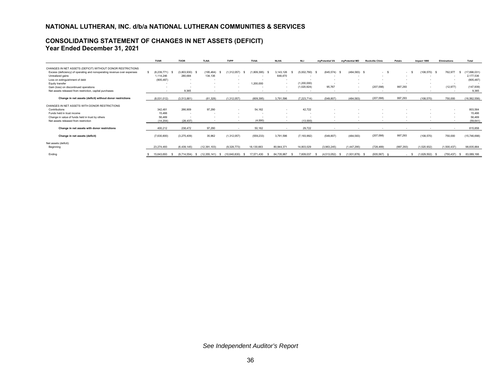# **CONSOLIDATING STATEMENT OF CHANGES IN NET ASSETS (DEFICIT) Year Ended December 31, 2021**

|                                                                         | <b>TVAR</b>     | <b>TVOR</b>       | <b>TLNA</b>                      | <b>TVPP</b> | <b>TVAA</b> | <b>NLHA</b>              | <b>NLI</b>    | myPotential VA           | myPotential MD          | <b>Rockville Clinic</b> | Petalo     | Impact 1890      | <b>Eliminations</b>      | Total          |
|-------------------------------------------------------------------------|-----------------|-------------------|----------------------------------|-------------|-------------|--------------------------|---------------|--------------------------|-------------------------|-------------------------|------------|------------------|--------------------------|----------------|
| CHANGES IN NET ASSETS (DEFICIT) WITHOUT DONOR RESTRICTIONS              |                 |                   |                                  |             |             |                          |               |                          |                         |                         |            |                  |                          |                |
| Excess (deficiency) of operating and nonoperating revenue over expenses | (8, 239, 771)   | $(3,803,930)$ \$  | (195, 464)                       | (1,312,057) | (1,809,395) | 3,143,126                | (5,002,790)   | (645, 574)               | $(484, 583)$ \$         | $- S$                   | - \$       | $(108, 570)$ \$  | 762,977                  | (17,696,031)   |
|                                                                         |                 | 280,684           | 134,136                          |             |             | 648,470                  |               |                          |                         | ٠.                      |            |                  |                          | 2,177,536      |
| Unrealized gains                                                        | 1,114,246       |                   |                                  |             |             |                          |               | $\overline{\phantom{a}}$ |                         |                         |            |                  |                          |                |
| Loss on extinguishment of debt                                          | (905, 487)      |                   |                                  |             |             |                          |               |                          |                         |                         |            |                  |                          | (905, 487)     |
| Equity transfer                                                         |                 |                   |                                  | $\sim$      | 1,200,000   | $\overline{\phantom{a}}$ | (1, 200, 000) | $\overline{\phantom{a}}$ |                         |                         |            |                  | . .                      |                |
| Gain (loss) on discontinued operations                                  |                 |                   |                                  |             |             | $\sim$                   | (1,020,924)   | 95.767                   |                         | (207,098)               | 997,293    |                  | (12, 977)                | (147, 939)     |
| Net assets released from restriction, capital purchases                 |                 | 9.365             |                                  |             |             |                          |               |                          |                         |                         |            |                  |                          | 9,365          |
| Change in net assets (deficit) without donor restrictions               | (8,031,012)     | (3,513,881)       | (61, 328)                        | (1,312,057) | (609, 395)  | 3,791,596                | (7, 223, 714) | (549, 807)               | (484, 583)              | (207,098)               | 997,293    | (108, 570)       | 750,000                  | (16, 562, 556) |
|                                                                         |                 |                   |                                  |             |             |                          |               |                          |                         |                         |            |                  |                          |                |
| CHANGES IN NET ASSETS WITH DONOR RESTRICTIONS                           |                 |                   |                                  |             |             |                          |               |                          |                         |                         |            |                  |                          |                |
| Contributions                                                           | 342,481         | 266,909           | 97,290                           | $\sim$      | 54,162      | $\overline{\phantom{a}}$ | 42.722        | $\overline{\phantom{a}}$ |                         |                         |            |                  | $\overline{\phantom{a}}$ | 803,564        |
| Funds held in trust income                                              | 15,466          | . .               |                                  |             |             | $\sim$                   |               | $\overline{\phantom{a}}$ |                         |                         |            |                  | $\overline{\phantom{a}}$ | 15,466         |
| Change in value of funds held in trust by others                        | 56,469          |                   |                                  |             |             |                          |               |                          |                         |                         |            |                  | $\sim$                   | 56,469         |
| Net assets released from restriction                                    | (14, 204)       | (28, 437)         |                                  |             | (4,000)     |                          | (13,000)      |                          |                         |                         |            |                  |                          | (59, 641)      |
|                                                                         |                 |                   |                                  |             |             |                          |               |                          |                         |                         |            |                  |                          |                |
| Change in net assets with donor restrictions                            | 400,212         | 238,472           | 97,290                           |             | 50,162      |                          | 29.722        |                          |                         |                         |            |                  |                          | 815,858        |
|                                                                         |                 |                   |                                  |             |             |                          |               |                          |                         |                         |            |                  |                          |                |
| Change in net assets (deficit)                                          | (7,630,800)     | (3,275,409)       | 35,962                           | (1,312,057) | (559, 233)  | 3,791,596                | (7, 193, 992) | (549, 807)               | (484, 583)              | (207, 098)              | 997,293    | (108, 570)       | 750,000                  | (15,746,698)   |
| Net assets (deficit):                                                   |                 |                   |                                  |             |             |                          |               |                          |                         |                         |            |                  |                          |                |
| Beginning                                                               | 23,274,493      | (6, 439, 145)     | (12, 391, 103)                   | (9,328,773) | 18,130,663  | 80,944,371               | 14,803,029    | (3,963,245)              | (1, 447, 295)           | (728, 469)              | (997, 293) | (1,520,932)      | (1,500,437)              | 98,835,864     |
|                                                                         |                 |                   |                                  |             |             |                          |               |                          |                         |                         |            |                  |                          |                |
| Ending                                                                  | 15,643,693<br>s | (9,714,554)<br>s. | $(12,355,141)$ \$ $(10,640,830)$ | - 56        | 17,571,430  | 84,735,967               | 7,609,037     | (4, 513, 052)            | $(1,931,878)$ \$<br>- S | $(935, 567)$ \$         | $-5$       | $(1,629,502)$ \$ | $(750, 437)$ \$          | 83,089,166     |